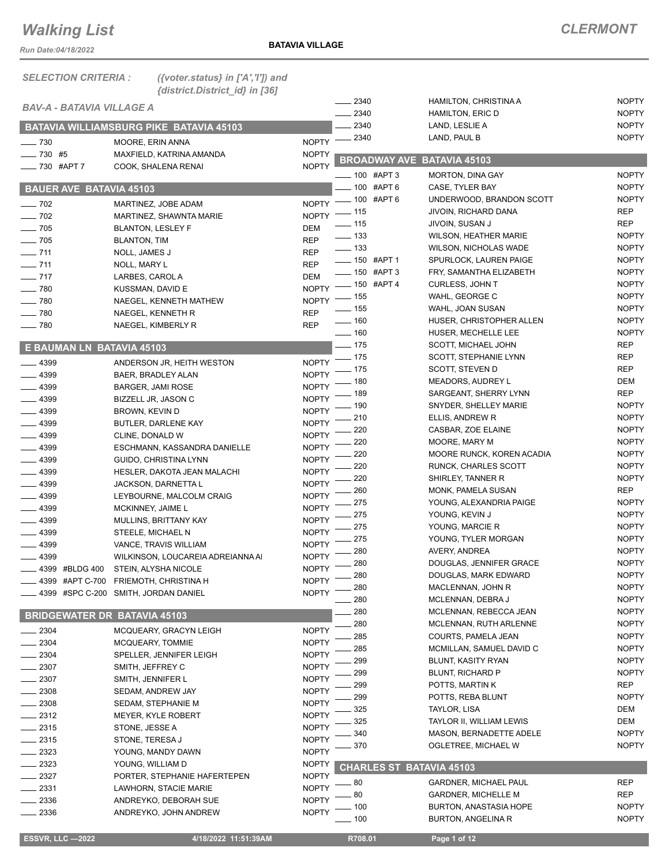*Run Date:04/18/2022*

**BATAVIA VILLAGE**

| <b>SELECTION CRITERIA:</b>             | ({voter.status} in ['A','I']) and<br>{district.District_id} in [36] |                              |                          |                                            |                              |
|----------------------------------------|---------------------------------------------------------------------|------------------------------|--------------------------|--------------------------------------------|------------------------------|
| <b>BAV-A - BATAVIA VILLAGE A</b>       |                                                                     |                              | $-2340$                  | HAMILTON, CHRISTINA A                      | <b>NOPTY</b>                 |
|                                        |                                                                     |                              | $-2340$                  | <b>HAMILTON, ERIC D</b>                    | <b>NOPTY</b>                 |
|                                        | <b>BATAVIA WILLIAMSBURG PIKE BATAVIA 45103</b>                      |                              | 2340                     | LAND, LESLIE A                             | <b>NOPTY</b><br><b>NOPTY</b> |
| $- 730$                                | MOORE, ERIN ANNA                                                    | <b>NOPTY</b>                 | 2340                     | LAND, PAUL B                               |                              |
| $- 730$ #5                             | MAXFIELD, KATRINA AMANDA                                            | <b>NOPTY</b>                 | <b>BROADWAY AVE</b>      | BATAVIA 45103                              |                              |
| $-730$ #APT 7                          | COOK, SHALENA RENAI                                                 | <b>NOPTY</b>                 | 100 #APT 3               | <b>MORTON, DINA GAY</b>                    | <b>NOPTY</b>                 |
| <b>BAUER AVE BATAVIA 45103</b>         |                                                                     |                              | 100 #APT 6               | CASE, TYLER BAY                            | <b>NOPTY</b>                 |
|                                        |                                                                     | <b>NOPTY</b>                 | $-100$ #APT 6            | UNDERWOOD, BRANDON SCOTT                   | <b>NOPTY</b>                 |
| $\frac{1}{2}$ 702<br>$\frac{1}{2}$ 702 | MARTINEZ, JOBE ADAM<br>MARTINEZ, SHAWNTA MARIE                      | <b>NOPTY</b>                 | . 115                    | JIVOIN, RICHARD DANA                       | <b>REP</b>                   |
| $- 705$                                | <b>BLANTON, LESLEY F</b>                                            | <b>DEM</b>                   | $-115$                   | JIVOIN, SUSAN J                            | <b>REP</b>                   |
| $-705$                                 | <b>BLANTON, TIM</b>                                                 | <b>REP</b>                   | $-$ 133                  | <b>WILSON, HEATHER MARIE</b>               | <b>NOPTY</b>                 |
| $- 711$                                | NOLL, JAMES J                                                       | <b>REP</b>                   | $\equiv$ 133             | WILSON, NICHOLAS WADE                      | <b>NOPTY</b>                 |
| $- 711$                                | NOLL, MARY L                                                        | <b>REP</b>                   | ____ 150 #APT 1          | SPURLOCK, LAUREN PAIGE                     | <b>NOPTY</b>                 |
| $- 717$                                | LARBES, CAROL A                                                     | <b>DEM</b>                   | $- 150$ #APT 3           | FRY, SAMANTHA ELIZABETH                    | <b>NOPTY</b>                 |
| $- 780$                                | KUSSMAN, DAVID E                                                    | <b>NOPTY</b>                 | ___ 150 #APT 4           | <b>CURLESS, JOHN T</b>                     | <b>NOPTY</b>                 |
| $- 780$                                | NAEGEL, KENNETH MATHEW                                              | <b>NOPTY</b>                 | $-155$                   | WAHL, GEORGE C                             | <b>NOPTY</b>                 |
| $- 780$                                | NAEGEL, KENNETH R                                                   | <b>REP</b>                   | $-$ 155                  | WAHL, JOAN SUSAN                           | <b>NOPTY</b>                 |
| $\sim$ 780                             | NAEGEL, KIMBERLY R                                                  | <b>REP</b>                   | $- 160$                  | HUSER, CHRISTOPHER ALLEN                   | <b>NOPTY</b>                 |
|                                        |                                                                     |                              | $- 160$<br>$-175$        | HUSER, MECHELLE LEE<br>SCOTT, MICHAEL JOHN | <b>NOPTY</b><br><b>REP</b>   |
| E BAUMAN LN BATAVIA 45103              |                                                                     |                              | . 175                    | SCOTT, STEPHANIE LYNN                      | <b>REP</b>                   |
| $-4399$                                | ANDERSON JR, HEITH WESTON                                           | <b>NOPTY</b>                 | 175                      | SCOTT, STEVEN D                            | <b>REP</b>                   |
| $-4399$                                | BAER, BRADLEY ALAN                                                  | <b>NOPTY</b>                 | 180                      | MEADORS, AUDREY L                          | DEM                          |
| $-4399$                                | <b>BARGER, JAMI ROSE</b>                                            | <b>NOPTY</b>                 | 189                      | SARGEANT, SHERRY LYNN                      | <b>REP</b>                   |
| .4399                                  | BIZZELL JR, JASON C                                                 | <b>NOPTY</b>                 | 190                      | SNYDER, SHELLEY MARIE                      | <b>NOPTY</b>                 |
| $-4399$                                | BROWN, KEVIN D                                                      | <b>NOPTY</b>                 | 210                      | ELLIS, ANDREW R                            | <b>NOPTY</b>                 |
| $- 4399$                               | BUTLER, DARLENE KAY                                                 | <b>NOPTY</b>                 | 220                      | CASBAR, ZOE ELAINE                         | <b>NOPTY</b>                 |
| $-4399$                                | CLINE, DONALD W                                                     | <b>NOPTY</b>                 | 220                      | MOORE, MARY M                              | <b>NOPTY</b>                 |
| $-4399$<br>$-4399$                     | ESCHMANN, KASSANDRA DANIELLE<br>GUIDO, CHRISTINA LYNN               | <b>NOPTY</b><br><b>NOPTY</b> | 220                      | MOORE RUNCK, KOREN ACADIA                  | <b>NOPTY</b>                 |
| $- 4399$                               | HESLER, DAKOTA JEAN MALACHI                                         | <b>NOPTY</b>                 | 220                      | RUNCK, CHARLES SCOTT                       | <b>NOPTY</b>                 |
| $- 4399$                               | JACKSON, DARNETTA L                                                 | <b>NOPTY</b>                 | 220                      | SHIRLEY, TANNER R                          | <b>NOPTY</b>                 |
| $-4399$                                | LEYBOURNE, MALCOLM CRAIG                                            | <b>NOPTY</b>                 | 260                      | MONK, PAMELA SUSAN                         | <b>REP</b>                   |
| $- 4399$                               | MCKINNEY, JAIME L                                                   | <b>NOPTY</b>                 | 275                      | YOUNG, ALEXANDRIA PAIGE                    | <b>NOPTY</b>                 |
| $-4399$                                | MULLINS, BRITTANY KAY                                               | <b>NOPTY</b>                 | 275                      | YOUNG, KEVIN J                             | <b>NOPTY</b>                 |
| $-4399$                                | STEELE, MICHAEL N                                                   | <b>NOPTY</b>                 | 275                      | YOUNG, MARCIE R                            | <b>NOPTY</b>                 |
| $- 4399$                               | VANCE, TRAVIS WILLIAM                                               | <b>NOPTY</b>                 | 275                      | YOUNG, TYLER MORGAN                        | <b>NOPTY</b>                 |
| 4399                                   | WILKINSON, LOUCAREIA ADREIANNA AI                                   | <b>NOPTY</b>                 | 280                      | AVERY, ANDREA                              | <b>NOPTY</b>                 |
| 4399 #BLDG 400                         | STEIN, ALYSHA NICOLE                                                | <b>NOPTY</b>                 | 280                      | DOUGLAS, JENNIFER GRACE                    | <b>NOPTY</b>                 |
| 4399 #APT C-700                        | FRIEMOTH, CHRISTINA H                                               | <b>NOPTY</b>                 | 280                      | DOUGLAS, MARK EDWARD<br>MACLENNAN, JOHN R  | <b>NOPTY</b>                 |
|                                        | - 4399 #SPC C-200 SMITH, JORDAN DANIEL                              | <b>NOPTY</b>                 | 280                      | MCLENNAN, DEBRA J                          | <b>NOPTY</b><br><b>NOPTY</b> |
|                                        |                                                                     |                              | 280<br>280               | MCLENNAN, REBECCA JEAN                     | <b>NOPTY</b>                 |
|                                        | <b>BRIDGEWATER DR BATAVIA 45103</b>                                 |                              | 280                      | MCLENNAN, RUTH ARLENNE                     | <b>NOPTY</b>                 |
| $-2304$                                | MCQUEARY, GRACYN LEIGH                                              | <b>NOPTY</b>                 | 285                      | COURTS, PAMELA JEAN                        | <b>NOPTY</b>                 |
| $-2304$                                | MCQUEARY, TOMMIE                                                    | <b>NOPTY</b>                 | 285                      | MCMILLAN, SAMUEL DAVID C                   | <b>NOPTY</b>                 |
| 2304                                   | SPELLER, JENNIFER LEIGH                                             | <b>NOPTY</b>                 | 299                      | BLUNT, KASITY RYAN                         | <b>NOPTY</b>                 |
| 2307                                   | SMITH, JEFFREY C                                                    | <b>NOPTY</b>                 | 299                      | BLUNT, RICHARD P                           | <b>NOPTY</b>                 |
| $-2307$                                | SMITH, JENNIFER L                                                   | <b>NOPTY</b>                 | 299                      | POTTS, MARTIN K                            | <b>REP</b>                   |
| 2308                                   | SEDAM, ANDREW JAY                                                   | <b>NOPTY</b>                 | 299                      | POTTS, REBA BLUNT                          | <b>NOPTY</b>                 |
| 2308                                   | SEDAM, STEPHANIE M                                                  | <b>NOPTY</b>                 | 325                      | TAYLOR, LISA                               | DEM                          |
| $-2312$                                | MEYER, KYLE ROBERT                                                  | <b>NOPTY</b>                 | 325                      | TAYLOR II, WILLIAM LEWIS                   | DEM                          |
| _ 2315                                 | STONE, JESSE A                                                      | <b>NOPTY</b>                 | 340                      | MASON, BERNADETTE ADELE                    | <b>NOPTY</b>                 |
| $-2315$                                | STONE, TERESA J                                                     | <b>NOPTY</b>                 | 370                      | OGLETREE, MICHAEL W                        | <b>NOPTY</b>                 |
| $-2323$<br>$-2323$                     | YOUNG, MANDY DAWN                                                   | <b>NOPTY</b>                 |                          |                                            |                              |
| $-2327$                                | YOUNG, WILLIAM D<br>PORTER, STEPHANIE HAFERTEPEN                    | <b>NOPTY</b><br><b>NOPTY</b> | CHARLES ST BATAVIA 45103 |                                            |                              |
| _ 2331                                 | LAWHORN, STACIE MARIE                                               | <b>NOPTY</b>                 | 80                       | <b>GARDNER, MICHAEL PAUL</b>               | <b>REP</b>                   |
| 2336                                   | ANDREYKO, DEBORAH SUE                                               | <b>NOPTY</b>                 | 80                       | <b>GARDNER, MICHELLE M</b>                 | <b>REP</b>                   |
| - 2336                                 | ANDREYKO, JOHN ANDREW                                               | <b>NOPTY</b>                 | 100                      | <b>BURTON, ANASTASIA HOPE</b>              | <b>NOPTY</b>                 |
|                                        |                                                                     |                              | . 100                    | <b>BURTON, ANGELINA R</b>                  | <b>NOPTY</b>                 |

 **ESSVR, LLC —2022 4/18/2022 11:51:39AM R708.01 Page 1 of 12**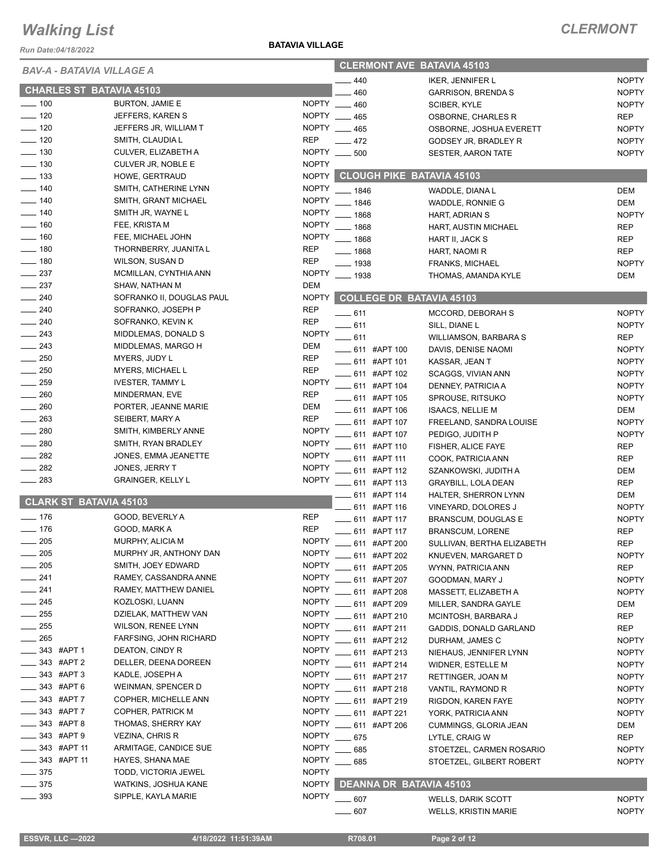*Run Date:04/18/2022*

| BAV-A - BATAVIA VILLAGE A       |                           | <b>CLERMONT AVE BATAVIA 45103</b> |                                  |                              |              |
|---------------------------------|---------------------------|-----------------------------------|----------------------------------|------------------------------|--------------|
|                                 |                           |                                   | 440                              | <b>IKER, JENNIFER L</b>      | <b>NOPTY</b> |
| <b>CHARLES ST BATAVIA 45103</b> |                           |                                   | 460                              | <b>GARRISON, BRENDA S</b>    | <b>NOPTY</b> |
| $\sim$ 100                      | <b>BURTON, JAMIE E</b>    |                                   | NOPTY __ 460                     | SCIBER, KYLE                 | <b>NOPTY</b> |
| $- 120$                         | JEFFERS, KAREN S          |                                   | NOPTY __ 465                     | OSBORNE, CHARLES R           | <b>REP</b>   |
| $- 120$                         | JEFFERS JR, WILLIAM T     |                                   | NOPTY __ 465                     | OSBORNE, JOSHUA EVERETT      | <b>NOPTY</b> |
| $\frac{1}{2}$ 120               | SMITH, CLAUDIA L          | REP                               | $-472$                           | GODSEY JR, BRADLEY R         | <b>NOPTY</b> |
| $\equiv$ 130                    | CULVER, ELIZABETH A       |                                   | NOPTY __ 500                     | <b>SESTER, AARON TATE</b>    | <b>NOPTY</b> |
| $\equiv$ 130                    | CULVER JR, NOBLE E        | <b>NOPTY</b>                      |                                  |                              |              |
| $\frac{1}{2}$ 133               | HOWE, GERTRAUD            | NOPTY                             | <b>CLOUGH PIKE BATAVIA 45103</b> |                              |              |
| $- 140$                         | SMITH, CATHERINE LYNN     | <b>NOPTY</b>                      | $- 1846$                         | WADDLE, DIANA L              | <b>DEM</b>   |
| $\frac{1}{2}$ 140               | SMITH, GRANT MICHAEL      | <b>NOPTY</b>                      | $- 1846$                         | WADDLE, RONNIE G             | DEM          |
| $\frac{1}{2}$ 140               | SMITH JR, WAYNE L         | <b>NOPTY</b>                      | $- 1868$                         | HART, ADRIAN S               | <b>NOPTY</b> |
| $- 160$                         | FEE, KRISTA M             | <b>NOPTY</b>                      | $- 1868$                         | HART, AUSTIN MICHAEL         | <b>REP</b>   |
| $- 160$                         | FEE, MICHAEL JOHN         | <b>NOPTY</b>                      | $- 1868$                         | HART II, JACK S              | <b>REP</b>   |
| $- 180$                         | THORNBERRY, JUANITA L     | <b>REP</b>                        | $-1868$                          | HART, NAOMI R                | <b>REP</b>   |
| $- 180$                         | WILSON, SUSAN D           | <b>REP</b>                        | $= 1938$                         | <b>FRANKS, MICHAEL</b>       | <b>NOPTY</b> |
| $\frac{1}{2}$ 237               | MCMILLAN, CYNTHIA ANN     | <b>NOPTY</b>                      | $\frac{1}{2}$ 1938               | THOMAS, AMANDA KYLE          | DEM          |
| $\frac{1}{2}$ 237               | SHAW, NATHAN M            | DEM                               |                                  |                              |              |
| $\frac{240}{5}$                 | SOFRANKO II, DOUGLAS PAUL | <b>NOPTY</b>                      | <b>COLLEGE DR BATAVIA 45103</b>  |                              |              |
| $\sim$ 240                      | SOFRANKO, JOSEPH P        | <b>REP</b>                        | $-611$                           | MCCORD, DEBORAH S            | <b>NOPTY</b> |
| $\sim$ 240                      | SOFRANKO, KEVIN K         | <b>REP</b>                        | $-611$                           | SILL, DIANE L                | <b>NOPTY</b> |
| $-243$                          | MIDDLEMAS, DONALD S       | <b>NOPTY</b>                      | $-611$                           | <b>WILLIAMSON, BARBARA S</b> | <b>REP</b>   |
| $-243$                          | MIDDLEMAS, MARGO H        | DEM                               | - 611 #APT 100                   | DAVIS, DENISE NAOMI          | <b>NOPTY</b> |
| $\sim$ 250                      | MYERS, JUDY L             | <b>REP</b>                        | __ 611 #APT 101                  | KASSAR, JEAN T               | <b>NOPTY</b> |
| 250                             | <b>MYERS, MICHAEL L</b>   | <b>REP</b>                        | ___ 611 #APT 102                 | SCAGGS, VIVIAN ANN           | <b>NOPTY</b> |
| $-259$                          | <b>IVESTER, TAMMY L</b>   | <b>NOPTY</b>                      | _611 #APT 104                    | DENNEY, PATRICIA A           | <b>NOPTY</b> |
| $\sim$ 260                      | MINDERMAN, EVE            | <b>REP</b>                        | ____ 611 #APT 105                | SPROUSE, RITSUKO             | <b>NOPTY</b> |
| $\sim$ 260                      | PORTER, JEANNE MARIE      | DEM                               | ____ 611 #APT 106                | <b>ISAACS, NELLIE M</b>      | DEM          |
| $\sim$ 263                      | SEIBERT, MARY A           | <b>REP</b>                        | 611 #APT 107                     | FREELAND, SANDRA LOUISE      | <b>NOPTY</b> |
| $\sim$ 280                      | SMITH, KIMBERLY ANNE      | <b>NOPTY</b>                      | 611 #APT 107                     | PEDIGO, JUDITH P             | <b>NOPTY</b> |
| 280                             | SMITH, RYAN BRADLEY       | <b>NOPTY</b>                      | 611 #APT 110                     | FISHER, ALICE FAYE           | <b>REP</b>   |
| $\frac{1}{282}$                 | JONES, EMMA JEANETTE      | <b>NOPTY</b>                      | 611 #APT 111                     | COOK, PATRICIA ANN           | <b>REP</b>   |
| $-282$                          | JONES, JERRY T            | <b>NOPTY</b>                      | 611 #APT 112                     | SZANKOWSKI, JUDITH A         | <b>DEM</b>   |
| $\sim$ 283                      | <b>GRAINGER, KELLY L</b>  | <b>NOPTY</b>                      | 611 #APT 113                     | <b>GRAYBILL, LOLA DEAN</b>   | <b>REP</b>   |
| <b>CLARK ST BATAVIA 45103</b>   |                           |                                   | ____ 611 #APT 114                | HALTER, SHERRON LYNN         | <b>DEM</b>   |
|                                 |                           |                                   | 611 #APT 116                     | VINEYARD, DOLORES J          | <b>NOPTY</b> |
| $- 176$                         | GOOD, BEVERLY A           | REP                               | ___ 611 #APT 117                 | BRANSCUM, DOUGLAS E          | <b>NOPTY</b> |
| $- 176$                         | GOOD, MARK A              | <b>REP</b>                        | $-611$ #APT 117                  | <b>BRANSCUM, LORENE</b>      | <b>REP</b>   |
| $\frac{1}{205}$                 | MURPHY, ALICIA M          | <b>NOPTY</b>                      | _ 611 #APT 200                   | SULLIVAN, BERTHA ELIZABETH   | <b>REP</b>   |
| —— 205                          | MURPHY JR, ANTHONY DAN    | NOPTY                             | $\frac{1}{2}$ 611 #APT 202       | KNUEVEN, MARGARET D          | <b>NOPTY</b> |
| $\sim$ 205                      | SMITH, JOEY EDWARD        | <b>NOPTY</b>                      | — 611 #APT 205                   | WYNN, PATRICIA ANN           | <b>REP</b>   |
| $-241$                          | RAMEY, CASSANDRA ANNE     | <b>NOPTY</b>                      | 611 #APT 207                     | GOODMAN, MARY J              | <b>NOPTY</b> |
| $-241$                          | RAMEY, MATTHEW DANIEL     | <b>NOPTY</b>                      | 611 #APT 208                     | MASSETT, ELIZABETH A         | <b>NOPTY</b> |
| $\sim$ 245                      | KOZLOSKI, LUANN           | <b>NOPTY</b>                      | 611 #APT 209                     | MILLER, SANDRA GAYLE         | DEM          |
| $\rule{1em}{0.15mm}$ 255        | DZIELAK, MATTHEW VAN      | <b>NOPTY</b>                      | - 611 #APT 210                   | MCINTOSH, BARBARA J          | <b>REP</b>   |
| $- 255$                         | <b>WILSON, RENEE LYNN</b> | <b>NOPTY</b>                      | _611 #APT 211                    | GADDIS, DONALD GARLAND       | REP          |
| $=265$                          | FARFSING, JOHN RICHARD    | <b>NOPTY</b>                      | ____ 611 #APT 212                | DURHAM, JAMES C              | <b>NOPTY</b> |
| 343 #APT 1                      | DEATON, CINDY R           | <b>NOPTY</b>                      | $-611$ #APT 213                  | NIEHAUS, JENNIFER LYNN       | <b>NOPTY</b> |
| 343 #APT 2                      | DELLER, DEENA DOREEN      | <b>NOPTY</b>                      | 611 #APT 214                     | <b>WIDNER, ESTELLE M</b>     | <b>NOPTY</b> |
| $-343$ #APT 3                   | KADLE, JOSEPH A           | <b>NOPTY</b>                      | 611 #APT 217                     | RETTINGER, JOAN M            | <b>NOPTY</b> |
| _343 #APT6                      | WEINMAN, SPENCER D        | <b>NOPTY</b>                      | . 611 #APT 218                   | VANTIL, RAYMOND R            | <b>NOPTY</b> |
| 343 #APT 7                      | COPHER, MICHELLE ANN      | <b>NOPTY</b>                      | 611 #APT 219                     | RIGDON, KAREN FAYE           | <b>NOPTY</b> |
| 343 #APT 7                      | COPHER, PATRICK M         | <b>NOPTY</b>                      | 611 #APT 221                     | YORK, PATRICIA ANN           | <b>NOPTY</b> |
| 343 #APT 8                      | THOMAS, SHERRY KAY        | <b>NOPTY</b>                      | 611 #APT 206                     | CUMMINGS, GLORIA JEAN        | DEM          |
| 343 #APT 9                      | <b>VEZINA, CHRIS R</b>    | <b>NOPTY</b>                      | $-675$                           | LYTLE, CRAIG W               | REP          |
| _____ 343 #APT 11               | ARMITAGE, CANDICE SUE     | <b>NOPTY</b>                      | 685                              | STOETZEL, CARMEN ROSARIO     | <b>NOPTY</b> |
| _____ 343 #APT 11               | HAYES, SHANA MAE          | <b>NOPTY</b>                      | $-685$                           | STOETZEL, GILBERT ROBERT     | <b>NOPTY</b> |
| $\frac{1}{2}$ 375               | TODD, VICTORIA JEWEL      | <b>NOPTY</b>                      |                                  |                              |              |
| $\frac{1}{2}$ 375               | WATKINS, JOSHUA KANE      |                                   | NOPTY DEANNA DR BATAVIA 45103    |                              |              |
| $- 393$                         | SIPPLE, KAYLA MARIE       | <b>NOPTY</b>                      | $-607$                           | <b>WELLS, DARIK SCOTT</b>    | <b>NOPTY</b> |
|                                 |                           |                                   | 607                              | <b>WELLS, KRISTIN MARIE</b>  | <b>NOPTY</b> |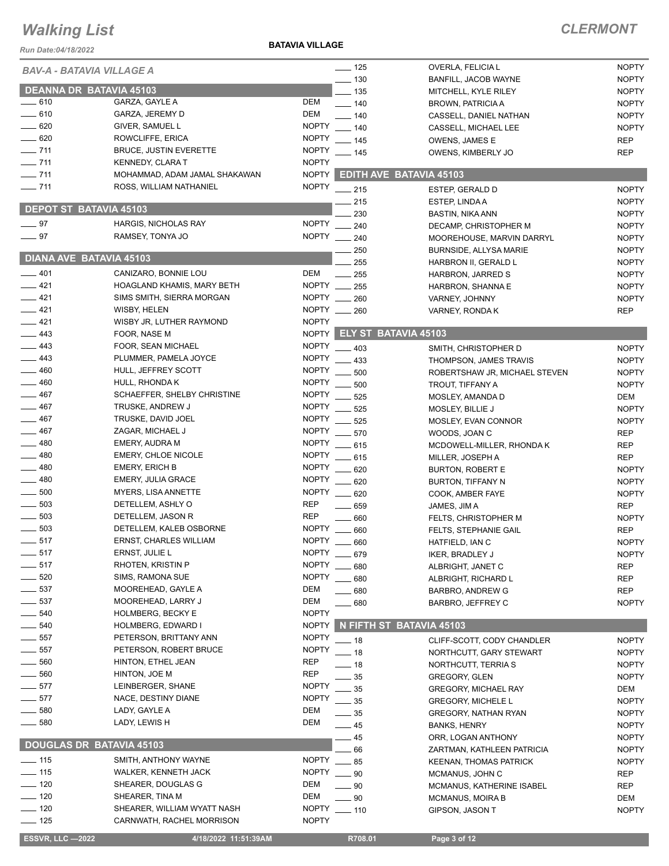*Run Date:04/18/2022*

#### **BATAVIA VILLAGE**

| <b>BAV-A - BATAVIA VILLAGE A</b> |                               |              | $\frac{1}{2}$ 125             | OVERLA, FELICIA L             | <b>NOPTY</b> |
|----------------------------------|-------------------------------|--------------|-------------------------------|-------------------------------|--------------|
|                                  |                               |              | $-130$                        | BANFILL, JACOB WAYNE          | <b>NOPTY</b> |
| <b>DEANNA DR BATAVIA 45103</b>   |                               |              | $-135$                        | MITCHELL, KYLE RILEY          | <b>NOPTY</b> |
| $\equiv$ 610                     | GARZA, GAYLE A                | DEM          | $- 140$                       | <b>BROWN, PATRICIA A</b>      | <b>NOPTY</b> |
| $-610$                           | GARZA, JEREMY D               | DEM          | $- 140$                       | CASSELL, DANIEL NATHAN        | <b>NOPTY</b> |
| $-620$                           | GIVER, SAMUEL L               | <b>NOPTY</b> | $- 140$                       | CASSELL, MICHAEL LEE          | <b>NOPTY</b> |
| $-620$                           | ROWCLIFFE, ERICA              | <b>NOPTY</b> | $-145$                        | OWENS, JAMES E                | <b>REP</b>   |
| $- 711$                          | <b>BRUCE, JUSTIN EVERETTE</b> | <b>NOPTY</b> | $-145$                        | OWENS, KIMBERLY JO            | <b>REP</b>   |
| $- 711$                          | KENNEDY, CLARA T              | <b>NOPTY</b> |                               |                               |              |
| $- 711$                          | MOHAMMAD, ADAM JAMAL SHAKAWAN |              | NOPTY EDITH AVE BATAVIA 45103 |                               |              |
| $- 711$                          | ROSS, WILLIAM NATHANIEL       | <b>NOPTY</b> | $-215$                        | ESTEP, GERALD D               | <b>NOPTY</b> |
|                                  |                               |              | 215                           | ESTEP, LINDA A                | <b>NOPTY</b> |
| <b>DEPOT ST BATAVIA 45103</b>    |                               |              | 230                           | <b>BASTIN, NIKA ANN</b>       | <b>NOPTY</b> |
| $-97$                            | HARGIS, NICHOLAS RAY          | <b>NOPTY</b> | 240                           | DECAMP, CHRISTOPHER M         | <b>NOPTY</b> |
| $\frac{1}{2}$ 97                 | RAMSEY, TONYA JO              | <b>NOPTY</b> | 240                           | MOOREHOUSE, MARVIN DARRYL     | <b>NOPTY</b> |
|                                  |                               |              | 250                           | <b>BURNSIDE, ALLYSA MARIE</b> | <b>NOPTY</b> |
| DIANA AVE BATAVIA 45103          |                               |              | 255                           | HARBRON II, GERALD L          | <b>NOPTY</b> |
| $-401$                           | CANIZARO, BONNIE LOU          | DEM          | $-255$                        | HARBRON, JARRED S             | <b>NOPTY</b> |
| $-421$                           | HOAGLAND KHAMIS, MARY BETH    | NOPTY __ 255 |                               | HARBRON, SHANNA E             | <b>NOPTY</b> |
| $-421$                           | SIMS SMITH, SIERRA MORGAN     | NOPTY __ 260 |                               | VARNEY, JOHNNY                | <b>NOPTY</b> |
| $-421$                           | WISBY, HELEN                  | NOPTY __ 260 |                               | VARNEY, RONDA K               | <b>REP</b>   |
| $-421$                           | WISBY JR, LUTHER RAYMOND      | <b>NOPTY</b> |                               |                               |              |
| $-443$                           | FOOR, NASE M                  |              | NOPTY ELY ST BATAVIA 45103    |                               |              |
| —— 443                           | FOOR, SEAN MICHAEL            | <b>NOPTY</b> | $-403$                        | SMITH, CHRISTOPHER D          | <b>NOPTY</b> |
| $\equiv$ 443                     | PLUMMER, PAMELA JOYCE         | <b>NOPTY</b> | 433                           | THOMPSON, JAMES TRAVIS        | <b>NOPTY</b> |
| $-460$                           | HULL, JEFFREY SCOTT           | <b>NOPTY</b> | 500                           | ROBERTSHAW JR, MICHAEL STEVEN | <b>NOPTY</b> |
| $-460$                           | HULL, RHONDA K                | <b>NOPTY</b> | 500                           | TROUT, TIFFANY A              | <b>NOPTY</b> |
| $-467$                           | SCHAEFFER, SHELBY CHRISTINE   | <b>NOPTY</b> | 525                           | MOSLEY, AMANDA D              | DEM          |
| $\frac{1}{2}$ 467                | TRUSKE, ANDREW J              | <b>NOPTY</b> | 525                           | MOSLEY, BILLIE J              | <b>NOPTY</b> |
| $-467$                           | TRUSKE, DAVID JOEL            | <b>NOPTY</b> | 525                           | MOSLEY, EVAN CONNOR           | <b>NOPTY</b> |
| $-467$                           | ZAGAR, MICHAEL J              | <b>NOPTY</b> | $=$ 570                       | WOODS, JOAN C                 | <b>REP</b>   |
| $\frac{1}{2}$ 480                | EMERY, AUDRA M                | <b>NOPTY</b> | 615                           | MCDOWELL-MILLER, RHONDA K     | <b>REP</b>   |
| $-480$                           | <b>EMERY, CHLOE NICOLE</b>    | <b>NOPTY</b> | $-615$                        | MILLER, JOSEPH A              | <b>REP</b>   |
| __ 480                           | <b>EMERY, ERICH B</b>         | <b>NOPTY</b> | 620                           | <b>BURTON, ROBERT E</b>       | <b>NOPTY</b> |
| $-480$                           | EMERY, JULIA GRACE            | <b>NOPTY</b> | 620                           | <b>BURTON, TIFFANY N</b>      | <b>NOPTY</b> |
| $-500$                           | MYERS, LISA ANNETTE           | <b>NOPTY</b> | 620                           | COOK, AMBER FAYE              | <b>NOPTY</b> |
| $\frac{1}{2}$ 503                | DETELLEM, ASHLY O             | <b>REP</b>   | 659                           | JAMES, JIM A                  | <b>REP</b>   |
| $\frac{1}{2}$ 503                | DETELLEM, JASON R             | <b>REP</b>   | $-660$                        | FELTS, CHRISTOPHER M          | <b>NOPTY</b> |
| $\frac{1}{2}$ 503                | DETELLEM, KALEB OSBORNE       | <b>NOPTY</b> | 660                           | FELTS, STEPHANIE GAIL         | <b>REP</b>   |
| $-517$                           | ERNST, CHARLES WILLIAM        | <b>NOPTY</b> | 660                           | HATFIELD, IAN C               | <b>NOPTY</b> |
| _ 517                            | ERNST, JULIE L                | NOPTY __ 679 |                               | <b>IKER, BRADLEY J</b>        | <b>NOPTY</b> |
| 517                              | RHOTEN, KRISTIN P             | <b>NOPTY</b> | 680                           | ALBRIGHT, JANET C             | <b>REP</b>   |
| 520                              | SIMS, RAMONA SUE              | <b>NOPTY</b> | $-680$                        | ALBRIGHT, RICHARD L           | <b>REP</b>   |
| $\_537$                          | MOOREHEAD, GAYLE A            | DEM          | $-680$                        | BARBRO, ANDREW G              | <b>REP</b>   |
| $-537$                           | MOOREHEAD, LARRY J            | <b>DEM</b>   | .680                          | BARBRO, JEFFREY C             | <b>NOPTY</b> |
| 540                              | <b>HOLMBERG, BECKY E</b>      | <b>NOPTY</b> |                               |                               |              |
| 540                              | HOLMBERG, EDWARD I            | <b>NOPTY</b> | N FIFTH ST BATAVIA 45103      |                               |              |
| 557                              | PETERSON, BRITTANY ANN        | <b>NOPTY</b> | $-18$                         | CLIFF-SCOTT, CODY CHANDLER    | <b>NOPTY</b> |
| $-557$                           | PETERSON, ROBERT BRUCE        | <b>NOPTY</b> | $-18$                         | NORTHCUTT, GARY STEWART       | <b>NOPTY</b> |
| 560                              | HINTON, ETHEL JEAN            | <b>REP</b>   | - 18                          | NORTHCUTT, TERRIA S           | <b>NOPTY</b> |
| 560                              | HINTON, JOE M                 | <b>REP</b>   | . 35                          | <b>GREGORY, GLEN</b>          | <b>NOPTY</b> |
| $-577$                           | LEINBERGER, SHANE             | <b>NOPTY</b> | . 35                          | <b>GREGORY, MICHAEL RAY</b>   | DEM          |
| $-577$                           | NACE, DESTINY DIANE           | <b>NOPTY</b> | . 35                          | <b>GREGORY, MICHELE L</b>     | <b>NOPTY</b> |
| 580                              | LADY, GAYLE A                 | DEM          | - 35                          | <b>GREGORY, NATHAN RYAN</b>   | <b>NOPTY</b> |
| 580                              | LADY, LEWIS H                 | <b>DEM</b>   | $-45$                         | <b>BANKS, HENRY</b>           | <b>NOPTY</b> |
|                                  |                               |              | $-45$                         | ORR, LOGAN ANTHONY            | <b>NOPTY</b> |
| <b>DOUGLAS DR BATAVIA 45103</b>  |                               |              | 66                            | ZARTMAN, KATHLEEN PATRICIA    | <b>NOPTY</b> |
| $\frac{1}{2}$ 115                | SMITH, ANTHONY WAYNE          | NOPTY ___ 85 |                               | <b>KEENAN, THOMAS PATRICK</b> | <b>NOPTY</b> |
| $\frac{1}{2}$ 115                | WALKER, KENNETH JACK          | <b>NOPTY</b> | $-90$                         | MCMANUS, JOHN C               | <b>REP</b>   |
| $- 120$                          | SHEARER, DOUGLAS G            | DEM          | $-90$                         | MCMANUS, KATHERINE ISABEL     | <b>REP</b>   |
| $- 120$                          | SHEARER, TINA M               | <b>DEM</b>   | $-90$                         | <b>MCMANUS, MOIRA B</b>       | DEM          |
| $-120$                           | SHEARER, WILLIAM WYATT NASH   | <b>NOPTY</b> | $-110$                        | GIPSON, JASON T               | <b>NOPTY</b> |
| $-$ 125                          | CARNWATH, RACHEL MORRISON     | <b>NOPTY</b> |                               |                               |              |
|                                  |                               |              |                               |                               |              |
| <b>ESSVR, LLC -2022</b>          | 4/18/2022 11:51:39AM          |              | R708.01                       | Page 3 of 12                  |              |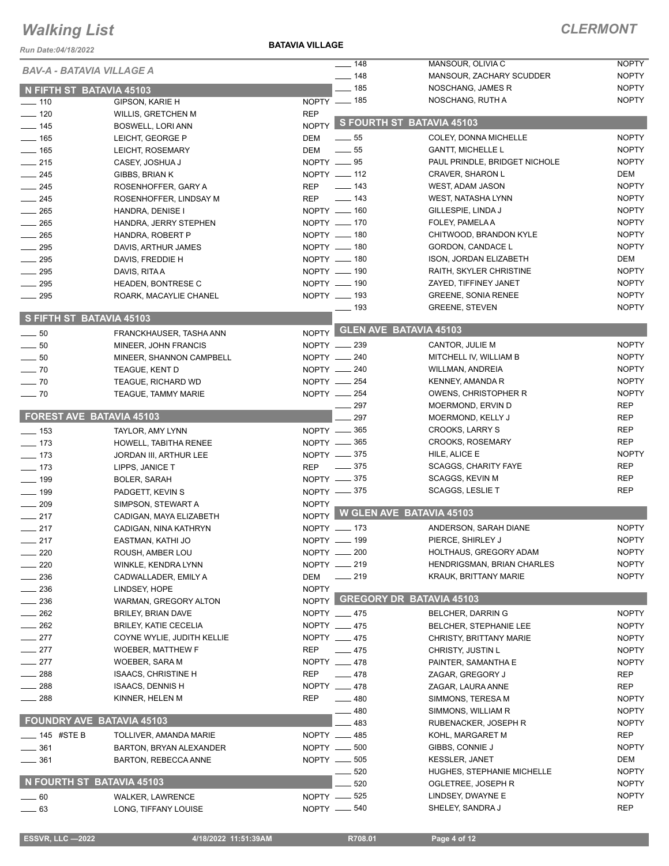*Run Date:04/18/2022*

**BATAVIA VILLAGE**

#### *CLERMONT*

| KUII DAIE.04/10/ZUZZ             |                              |               |                   |                                |              |
|----------------------------------|------------------------------|---------------|-------------------|--------------------------------|--------------|
| BAV-A - BATAVIA VILLAGE A        |                              |               | $- 148$           | MANSOUR, OLIVIA C              | <b>NOPTY</b> |
|                                  |                              |               | $- 148$           | MANSOUR, ZACHARY SCUDDER       | <b>NOPTY</b> |
| N FIFTH ST BATAVIA 45103         |                              |               | $\frac{1}{2}$ 185 | NOSCHANG, JAMES R              | <b>NOPTY</b> |
| $- 110$                          | GIPSON, KARIE H              | $NOPTY$ - 185 |                   | NOSCHANG, RUTH A               | <b>NOPTY</b> |
| $- 120$                          | <b>WILLIS, GRETCHEN M</b>    | <b>REP</b>    |                   |                                |              |
| $\frac{1}{2}$ 145                | <b>BOSWELL, LORI ANN</b>     | <b>NOPTY</b>  |                   | S FOURTH ST BATAVIA 45103      |              |
| $\frac{1}{2}$ 165                | LEICHT, GEORGE P             | <b>DEM</b>    | $\frac{1}{2}$ 55  | COLEY, DONNA MICHELLE          | <b>NOPTY</b> |
| $\frac{1}{165}$                  | LEICHT, ROSEMARY             | <b>DEM</b>    | $\frac{1}{2}$ 55  | <b>GANTT, MICHELLE L</b>       | <b>NOPTY</b> |
| $-215$                           | CASEY, JOSHUA J              | NOPTY __ 95   |                   | PAUL PRINDLE, BRIDGET NICHOLE  | <b>NOPTY</b> |
| $\frac{1}{245}$                  | GIBBS, BRIAN K               | NOPTY __ 112  |                   | CRAVER, SHARON L               | DEM          |
| $\frac{1}{245}$                  | ROSENHOFFER, GARY A          | <b>REP</b>    | $\frac{1}{2}$ 143 | WEST, ADAM JASON               | <b>NOPTY</b> |
| $\frac{1}{245}$                  | ROSENHOFFER, LINDSAY M       | <b>REP</b>    | $\frac{1}{2}$ 143 | WEST, NATASHA LYNN             | <b>NOPTY</b> |
| $\frac{1}{265}$                  | HANDRA, DENISE I             |               | NOPTY __ 160      | GILLESPIE, LINDA J             | <b>NOPTY</b> |
| $\frac{1}{265}$                  | HANDRA, JERRY STEPHEN        | NOPTY __ 170  |                   | FOLEY, PAMELA A                | <b>NOPTY</b> |
| $-265$                           | HANDRA, ROBERT P             |               | NOPTY __ 180      | CHITWOOD, BRANDON KYLE         | <b>NOPTY</b> |
| $-295$                           | DAVIS, ARTHUR JAMES          |               | NOPTY __ 180      | GORDON, CANDACE L              | <b>NOPTY</b> |
| $\frac{1}{2}$ 295                | DAVIS, FREDDIE H             | NOPTY __ 180  |                   | ISON, JORDAN ELIZABETH         | DEM          |
| $\frac{1}{2}$ 295                | DAVIS, RITA A                | NOPTY __ 190  |                   | RAITH, SKYLER CHRISTINE        | <b>NOPTY</b> |
| $\frac{1}{2}$ 295                | <b>HEADEN, BONTRESE C</b>    |               | NOPTY __ 190      | ZAYED, TIFFINEY JANET          | <b>NOPTY</b> |
| $\frac{1}{295}$                  | ROARK, MACAYLIE CHANEL       |               | NOPTY __ 193      | <b>GREENE, SONIA RENEE</b>     | <b>NOPTY</b> |
|                                  |                              |               | $\equiv$ 193      | <b>GREENE, STEVEN</b>          | <b>NOPTY</b> |
| S FIFTH ST BATAVIA 45103         |                              |               |                   |                                |              |
| $\sim$ 50                        | FRANCKHAUSER, TASHA ANN      | <b>NOPTY</b>  |                   | <b>GLEN AVE BATAVIA 45103</b>  |              |
| $\frac{1}{2}$ 50                 | MINEER, JOHN FRANCIS         | NOPTY __ 239  |                   | CANTOR, JULIE M                | <b>NOPTY</b> |
| $\sim$ 50                        | MINEER, SHANNON CAMPBELL     | NOPTY __ 240  |                   | MITCHELL IV, WILLIAM B         | <b>NOPTY</b> |
| $\sim$ 70                        | <b>TEAGUE, KENT D</b>        | NOPTY __ 240  |                   | <b>WILLMAN, ANDREIA</b>        | <b>NOPTY</b> |
| $\sim$ 70                        | <b>TEAGUE, RICHARD WD</b>    | NOPTY __ 254  |                   | KENNEY, AMANDA R               | <b>NOPTY</b> |
| $\sim$ 70                        | <b>TEAGUE, TAMMY MARIE</b>   | NOPTY __ 254  |                   | OWENS, CHRISTOPHER R           | <b>NOPTY</b> |
|                                  |                              |               | 297               | MOERMOND, ERVIN D              | <b>REP</b>   |
| FOREST AVE BATAVIA 45103         |                              |               | 297               | MOERMOND, KELLY J              | <b>REP</b>   |
| $\frac{1}{2}$ 153                | TAYLOR, AMY LYNN             | NOPTY -865    |                   | <b>CROOKS, LARRY S</b>         | <b>REP</b>   |
| $\frac{1}{2}$ 173                | HOWELL, TABITHA RENEE        | NOPTY -865    |                   | <b>CROOKS, ROSEMARY</b>        | <b>REP</b>   |
| $\frac{1}{2}$ 173                | JORDAN III, ARTHUR LEE       | NOPTY -875    |                   | HILE, ALICE E                  | <b>NOPTY</b> |
| $\frac{1}{2}$ 173                | LIPPS, JANICE T              | REP           | $\sim$ 375        | <b>SCAGGS, CHARITY FAYE</b>    | <b>REP</b>   |
| $\frac{1}{2}$ 199                | <b>BOLER, SARAH</b>          |               | NOPTY -875        | <b>SCAGGS, KEVIN M</b>         | <b>REP</b>   |
| $\frac{1}{2}$ 199                | PADGETT, KEVIN S             | NOPTY - 375   |                   | <b>SCAGGS, LESLIE T</b>        | <b>REP</b>   |
| $-209$                           | SIMPSON, STEWART A           | <b>NOPTY</b>  |                   |                                |              |
| $-217$                           | CADIGAN, MAYA ELIZABETH      | <b>NOPTY</b>  |                   | W GLEN AVE BATAVIA 45103       |              |
| $-217$                           | CADIGAN, NINA KATHRYN        | NOPTY __ 173  |                   | ANDERSON, SARAH DIANE          | <b>NOPTY</b> |
| 217                              | EASTMAN, KATHI JO            | NOPTY -       | - 199             | PIERCE, SHIRLEY J              | <b>NOPTY</b> |
| $-220$                           | ROUSH, AMBER LOU             | NOPTY __ 200  |                   | <b>HOLTHAUS, GREGORY ADAM</b>  | <b>NOPTY</b> |
| 220                              | WINKLE, KENDRA LYNN          |               | NOPTY __ 219      | HENDRIGSMAN, BRIAN CHARLES     | <b>NOPTY</b> |
| 236                              | CADWALLADER, EMILY A         | DEM           | $-219$            | KRAUK, BRITTANY MARIE          | <b>NOPTY</b> |
| 236                              | LINDSEY, HOPE                | <b>NOPTY</b>  |                   |                                |              |
| 236                              | WARMAN, GREGORY ALTON        |               |                   | NOPTY GREGORY DR BATAVIA 45103 |              |
| $-262$                           | <b>BRILEY, BRIAN DAVE</b>    |               | NOPTY __ 475      | <b>BELCHER, DARRIN G</b>       | <b>NOPTY</b> |
| $-262$                           | <b>BRILEY, KATIE CECELIA</b> |               | NOPTY __ 475      | BELCHER, STEPHANIE LEE         | <b>NOPTY</b> |
| $-277$                           | COYNE WYLIE, JUDITH KELLIE   |               | NOPTY __ 475      | <b>CHRISTY, BRITTANY MARIE</b> | <b>NOPTY</b> |
| $-277$                           | WOEBER, MATTHEW F            | REP           | $-475$            | CHRISTY, JUSTIN L              | <b>NOPTY</b> |
| $-277$                           | WOEBER, SARA M               | NOPTY __ 478  |                   | PAINTER, SAMANTHA E            | <b>NOPTY</b> |
| $-288$                           | <b>ISAACS, CHRISTINE H</b>   | <b>REP</b>    | $-478$            | ZAGAR, GREGORY J               | <b>REP</b>   |
| $-288$                           | ISAACS, DENNIS H             | NOPTY __ 478  |                   | ZAGAR, LAURA ANNE              | REP          |
| ____ 288                         | KINNER, HELEN M              | REP           | $-480$            | SIMMONS, TERESA M              | <b>NOPTY</b> |
|                                  |                              |               | $-480$            | SIMMONS, WILLIAM R             | <b>NOPTY</b> |
| <b>FOUNDRY AVE BATAVIA 45103</b> |                              |               | 483               | RUBENACKER, JOSEPH R           | <b>NOPTY</b> |
| ____ 145 #STE B                  | TOLLIVER, AMANDA MARIE       | NOPTY __ 485  |                   | KOHL, MARGARET M               | <b>REP</b>   |
| $- 361$                          | BARTON, BRYAN ALEXANDER      | NOPTY __ 500  |                   | GIBBS, CONNIE J                | <b>NOPTY</b> |
| $- 361$                          | BARTON, REBECCA ANNE         |               | NOPTY __ 505      | <b>KESSLER, JANET</b>          | DEM          |
|                                  |                              |               | 520               | HUGHES, STEPHANIE MICHELLE     | <b>NOPTY</b> |
| N FOURTH ST BATAVIA 45103        |                              |               | 520               | OGLETREE, JOSEPH R             | <b>NOPTY</b> |
|                                  |                              | NOPTY -625    |                   | LINDSEY, DWAYNE E              | <b>NOPTY</b> |
| $\_\_60$                         | <b>WALKER, LAWRENCE</b>      |               |                   | SHELEY, SANDRA J               | <b>REP</b>   |
| 63                               | LONG, TIFFANY LOUISE         | NOPTY -840    |                   |                                |              |

**ESSVR, LLC -2022** 4/18/2022 11:51:39AM R708.01 Page 4 of 12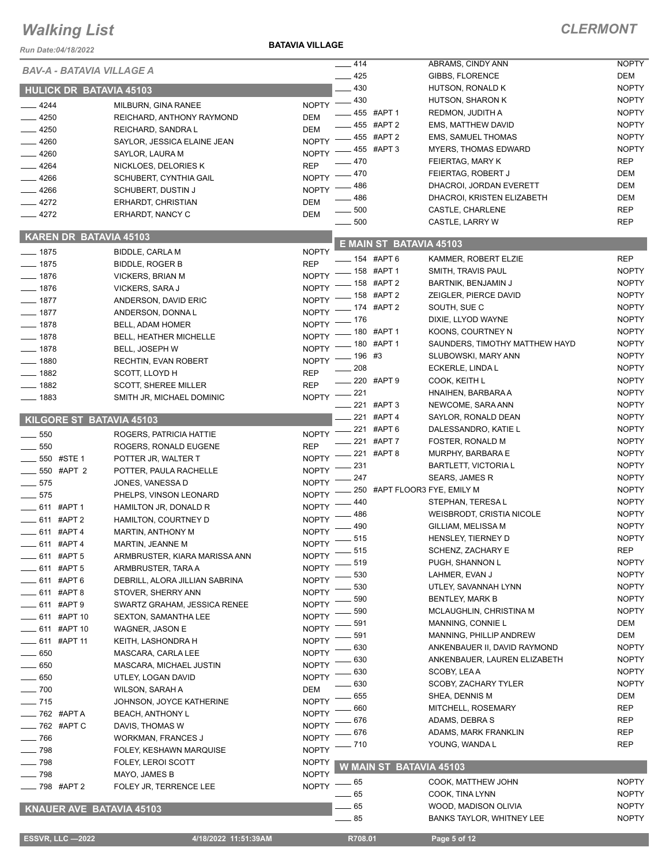#### *Run Date:04/18/2022*

#### **BATAVIA VILLAGE**

| <b>BAV-A - BATAVIA VILLAGE A</b> |                                |                              | 414                     | ABRAMS, CINDY ANN                | <b>NOPTY</b> |
|----------------------------------|--------------------------------|------------------------------|-------------------------|----------------------------------|--------------|
|                                  |                                |                              | $-425$                  | GIBBS, FLORENCE                  | DEM          |
| <b>HULICK DR BATAVIA 45103</b>   |                                |                              | $-430$                  | HUTSON, RONALD K                 | <b>NOPTY</b> |
| $-4244$                          | MILBURN, GINA RANEE            | <b>NOPTY</b>                 | $-430$                  | HUTSON, SHARON K                 | <b>NOPTY</b> |
| $-4250$                          | REICHARD, ANTHONY RAYMOND      | <b>DEM</b>                   | 455 #APT 1              | REDMON, JUDITH A                 | <b>NOPTY</b> |
| $-4250$                          | REICHARD, SANDRA L             | <b>DEM</b>                   | 455 #APT 2              | EMS, MATTHEW DAVID               | <b>NOPTY</b> |
| $-4260$                          | SAYLOR, JESSICA ELAINE JEAN    | <b>NOPTY</b>                 | _455 #APT 2             | <b>EMS, SAMUEL THOMAS</b>        | <b>NOPTY</b> |
| 4260                             | SAYLOR, LAURA M                | <b>NOPTY</b>                 | 455 #APT 3              | <b>MYERS, THOMAS EDWARD</b>      | <b>NOPTY</b> |
| 4264                             |                                | <b>REP</b>                   | 470                     | FEIERTAG, MARY K                 | <b>REP</b>   |
|                                  | NICKLOES, DELORIES K           | <b>NOPTY</b>                 | 470                     | FEIERTAG, ROBERT J               | <b>DEM</b>   |
| 4266                             | SCHUBERT, CYNTHIA GAIL         |                              | 486                     | DHACROI, JORDAN EVERETT          | <b>DEM</b>   |
| $-4266$                          | <b>SCHUBERT, DUSTIN J</b>      | <b>NOPTY</b>                 | 486                     | DHACROI, KRISTEN ELIZABETH       | <b>DEM</b>   |
| $-4272$                          | ERHARDT, CHRISTIAN             | DEM                          | 500                     | CASTLE, CHARLENE                 | <b>REP</b>   |
| $-4272$                          | ERHARDT, NANCY C               | <b>DEM</b>                   | $\equiv$ 500            | CASTLE, LARRY W                  | <b>REP</b>   |
| <b>KAREN DR BATAVIA 45103</b>    |                                |                              |                         |                                  |              |
| $- 1875$                         |                                | <b>NOPTY</b>                 | E MAIN ST BATAVIA 45103 |                                  |              |
|                                  | <b>BIDDLE, CARLA M</b>         | <b>REP</b>                   | - 154 #APT 6            | KAMMER, ROBERT ELZIE             | <b>REP</b>   |
| $-1875$                          | <b>BIDDLE, ROGER B</b>         |                              | NOPTY -8 #APT 1         | SMITH, TRAVIS PAUL               | <b>NOPTY</b> |
| $-1876$                          | <b>VICKERS, BRIAN M</b>        |                              | $-158$ #APT 2           | <b>BARTNIK, BENJAMIN J</b>       | <b>NOPTY</b> |
| $-1876$                          | VICKERS, SARA J                | <b>NOPTY</b>                 | $-158$ #APT 2           | ZEIGLER, PIERCE DAVID            | <b>NOPTY</b> |
| $-1877$                          | ANDERSON, DAVID ERIC           | <b>NOPTY</b>                 | - 174 #APT 2            | SOUTH, SUE C                     | <b>NOPTY</b> |
| $- 1877$                         | ANDERSON, DONNAL               | <b>NOPTY</b>                 | - 176                   | DIXIE, LLYOD WAYNE               | <b>NOPTY</b> |
| $- 1878$                         | BELL, ADAM HOMER               | <b>NOPTY</b>                 | $-180$ #APT 1           | KOONS, COURTNEY N                | <b>NOPTY</b> |
| $- 1878$                         | <b>BELL, HEATHER MICHELLE</b>  | <b>NOPTY</b>                 | $-180$ #APT 1           |                                  |              |
| $-1878$                          | BELL, JOSEPH W                 | <b>NOPTY</b>                 |                         | SAUNDERS, TIMOTHY MATTHEW HAYD   | <b>NOPTY</b> |
| 1880                             | <b>RECHTIN, EVAN ROBERT</b>    | <b>NOPTY</b>                 | _ 196  #3               | SLUBOWSKI, MARY ANN              | <b>NOPTY</b> |
| $-1882$                          | SCOTT, LLOYD H                 | <b>REP</b>                   | 208                     | ECKERLE, LINDA L                 | <b>NOPTY</b> |
| $-1882$                          | <b>SCOTT, SHEREE MILLER</b>    | <b>REP</b>                   | 220 #APT 9              | COOK, KEITH L                    | <b>NOPTY</b> |
| $- 1883$                         | SMITH JR, MICHAEL DOMINIC      | NOPTY -                      | $-221$                  | HNAIHEN, BARBARA A               | <b>NOPTY</b> |
|                                  |                                |                              | ____ 221 #APT 3         | NEWCOME, SARA ANN                | <b>NOPTY</b> |
| KILGORE ST BATAVIA 45103         |                                |                              | 221 #APT 4              | SAYLOR, RONALD DEAN              | <b>NOPTY</b> |
| 550                              | ROGERS, PATRICIA HATTIE        | <b>NOPTY</b>                 | 221 #APT 6              | DALESSANDRO, KATIE L             | <b>NOPTY</b> |
| 550                              | ROGERS, RONALD EUGENE          | <b>REP</b>                   | 221 #APT 7              | FOSTER, RONALD M                 | <b>NOPTY</b> |
| 550 #STE 1                       | POTTER JR, WALTER T            | <b>NOPTY</b>                 | 221 #APT 8              | MURPHY, BARBARA E                | <b>NOPTY</b> |
|                                  |                                |                              | 231                     | <b>BARTLETT, VICTORIA L</b>      | <b>NOPTY</b> |
| 550 #APT 2                       | POTTER, PAULA RACHELLE         | <b>NOPTY</b>                 | 247                     | <b>SEARS, JAMES R</b>            | <b>NOPTY</b> |
| 575                              | JONES, VANESSA D               | <b>NOPTY</b>                 |                         | 250 #APT FLOOR3 FYE, EMILY M     | <b>NOPTY</b> |
| $-575$                           | PHELPS, VINSON LEONARD         | <b>NOPTY</b>                 | 440                     | STEPHAN, TERESA L                | <b>NOPTY</b> |
| $\frac{1}{2}$ 611 #APT 1         | HAMILTON JR, DONALD R          | <b>NOPTY</b>                 | 486                     | WEISBRODT, CRISTIA NICOLE        | <b>NOPTY</b> |
| 611 #APT 2                       | HAMILTON, COURTNEY D           | <b>NOPTY</b>                 | 490                     | GILLIAM, MELISSA M               | <b>NOPTY</b> |
| 611 #APT 4                       | <b>MARTIN, ANTHONY M</b>       | <b>NOPTY</b>                 | _ 515                   | HENSLEY, TIERNEY D               | <b>NOPTY</b> |
| 611 #APT 4                       | MARTIN, JEANNE M               | NOPTY <sup>-</sup>           | $=515$                  | SCHENZ, ZACHARY E                | <b>REP</b>   |
| 611 #APT 5                       | ARMBRUSTER, KIARA MARISSA ANN  | <b>NOPTY</b>                 | 519                     | PUGH, SHANNON L                  | <b>NOPTY</b> |
| _ 611 #APT 5                     | ARMBRUSTER, TARA A             | <b>NOPTY</b>                 |                         | LAHMER, EVAN J                   |              |
| __ 611 #APT 6                    | DEBRILL, ALORA JILLIAN SABRINA | <b>NOPTY</b>                 | 530                     |                                  | <b>NOPTY</b> |
| 611 #APT 8                       | STOVER, SHERRY ANN             | <b>NOPTY</b>                 | 530                     | UTLEY, SAVANNAH LYNN             | <b>NOPTY</b> |
| 611 #APT 9                       | SWARTZ GRAHAM, JESSICA RENEE   | <b>NOPTY</b>                 | 590                     | <b>BENTLEY, MARK B</b>           | <b>NOPTY</b> |
| 611 #APT 10                      | <b>SEXTON, SAMANTHA LEE</b>    | <b>NOPTY</b>                 | 590                     | MCLAUGHLIN, CHRISTINA M          | <b>NOPTY</b> |
| _ 611 #APT 10                    | WAGNER, JASON E                | <b>NOPTY</b>                 | 591                     | MANNING, CONNIE L                | DEM          |
| 611 #APT 11                      | KEITH, LASHONDRA H             | <b>NOPTY</b>                 | 591                     | MANNING, PHILLIP ANDREW          | DEM          |
| $=650$                           | MASCARA, CARLA LEE             | <b>NOPTY</b>                 | 630                     | ANKENBAUER II, DAVID RAYMOND     | <b>NOPTY</b> |
| 650                              | MASCARA, MICHAEL JUSTIN        | <b>NOPTY</b>                 | 630                     | ANKENBAUER, LAUREN ELIZABETH     | <b>NOPTY</b> |
| 650                              | UTLEY, LOGAN DAVID             | <b>NOPTY</b>                 | 630                     | SCOBY, LEAA                      | <b>NOPTY</b> |
| $-700$                           | WILSON, SARAH A                | DEM                          | 630                     | SCOBY, ZACHARY TYLER             | <b>NOPTY</b> |
|                                  |                                |                              | 655                     | SHEA, DENNIS M                   | DEM          |
| $-715$                           | JOHNSON, JOYCE KATHERINE       | <b>NOPTY</b><br><b>NOPTY</b> | 660                     | MITCHELL, ROSEMARY               | <b>REP</b>   |
| <sub>—</sub> 762 #APT A          | <b>BEACH, ANTHONY L</b>        |                              | 676                     | ADAMS, DEBRA S                   | REP          |
| $\frac{1}{2}$ 762 #APT C         | DAVIS, THOMAS W                | <b>NOPTY</b>                 | 676                     | ADAMS, MARK FRANKLIN             | <b>REP</b>   |
| $- 766$                          | WORKMAN, FRANCES J             | <b>NOPTY</b>                 | - 710                   | YOUNG, WANDA L                   | REP          |
| $- 798$                          | FOLEY, KESHAWN MARQUISE        | <b>NOPTY</b>                 |                         |                                  |              |
| $-798$                           | <b>FOLEY, LEROI SCOTT</b>      | <b>NOPTY</b>                 | W MAIN ST BATAVIA 45103 |                                  |              |
| $-798$                           | MAYO, JAMES B                  | <b>NOPTY</b>                 | - 65                    | COOK, MATTHEW JOHN               | <b>NOPTY</b> |
| _798 #APT 2                      | FOLEY JR, TERRENCE LEE         | <b>NOPTY</b>                 | .65                     | COOK, TINA LYNN                  | <b>NOPTY</b> |
|                                  |                                |                              |                         |                                  |              |
| KNAUER AVE BATAVIA 45103         |                                |                              | - 65                    | WOOD, MADISON OLIVIA             | <b>NOPTY</b> |
|                                  |                                |                              | $-85$                   | <b>BANKS TAYLOR, WHITNEY LEE</b> | <b>NOPTY</b> |
| <b>ESSVR, LLC-2022</b>           | 4/18/2022 11:51:39AM           |                              | R708.01                 | Page 5 of 12                     |              |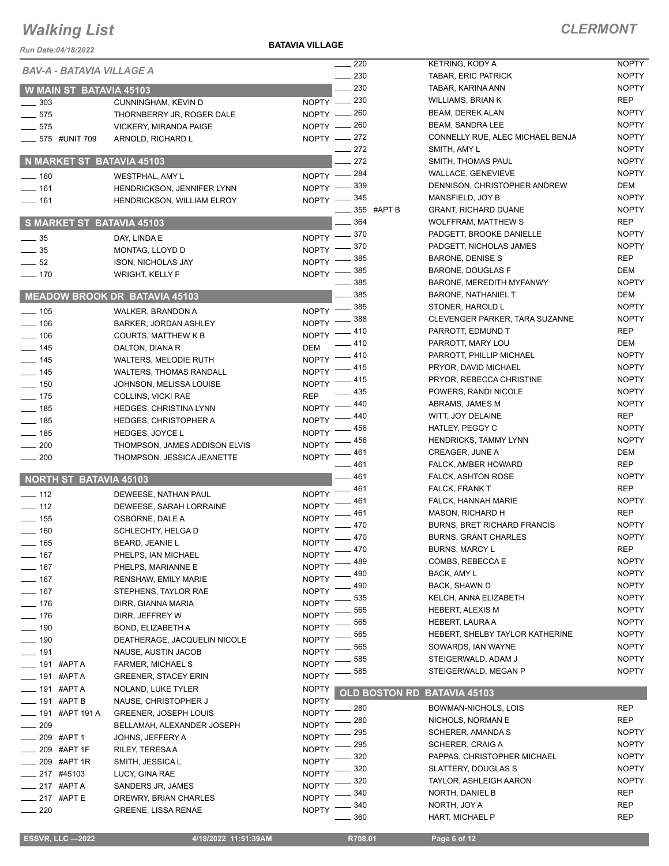#### **BATAVIA VILLAGE**

| <i>ERMONT</i> |  |  |  |  |  |  |  |
|---------------|--|--|--|--|--|--|--|
|---------------|--|--|--|--|--|--|--|

| Run Date:04/18/2022              |                                                   |                              |                    |                      |                                                    |                            |
|----------------------------------|---------------------------------------------------|------------------------------|--------------------|----------------------|----------------------------------------------------|----------------------------|
| <b>BAV-A - BATAVIA VILLAGE A</b> |                                                   |                              | 220                |                      | <b>KETRING, KODY A</b>                             | <b>NOPTY</b>               |
|                                  |                                                   |                              | $\sim$ 230         |                      | TABAR, ERIC PATRICK                                | <b>NOPTY</b>               |
| <b>W MAIN ST BATAVIA 45103</b>   |                                                   |                              | 230                |                      | TABAR, KARINA ANN<br><b>WILLIAMS, BRIAN K</b>      | <b>NOPTY</b><br><b>REP</b> |
| 303                              | CUNNINGHAM, KEVIN D                               | NOPTY - 230<br>NOPTY - 260   |                    |                      | <b>BEAM, DEREK ALAN</b>                            | <b>NOPTY</b>               |
| $- 575$                          | THORNBERRY JR, ROGER DALE                         | NOPTY - 260                  |                    |                      | BEAM, SANDRA LEE                                   | <b>NOPTY</b>               |
| $- 575$<br>____ 575 #UNIT 709    | <b>VICKERY, MIRANDA PAIGE</b>                     | NOPTY -272                   |                    |                      | CONNELLY RUE, ALEC MICHAEL BENJA                   | <b>NOPTY</b>               |
|                                  | ARNOLD, RICHARD L                                 |                              | $\frac{272}{2}$    |                      | SMITH, AMY L                                       | <b>NOPTY</b>               |
| N MARKET ST BATAVIA 45103        |                                                   |                              | 272                |                      | SMITH, THOMAS PAUL                                 | <b>NOPTY</b>               |
| $- 160$                          | WESTPHAL, AMY L                                   | $NOPTY =$                    | - 284              |                      | <b>WALLACE, GENEVIEVE</b>                          | <b>NOPTY</b>               |
| $- 161$                          | HENDRICKSON, JENNIFER LYNN                        | NOPTY -839                   |                    |                      | DENNISON, CHRISTOPHER ANDREW                       | DEM                        |
| $- 161$                          | HENDRICKSON, WILLIAM ELROY                        | NOPTY -845                   |                    |                      | MANSFIELD, JOY B                                   | <b>NOPTY</b>               |
|                                  |                                                   |                              | _____ 355   #APT B |                      | <b>GRANT, RICHARD DUANE</b>                        | <b>NOPTY</b>               |
| S MARKET ST BATAVIA 45103        |                                                   |                              | $-364$             |                      | <b>WOLFFRAM, MATTHEW S</b>                         | <b>REP</b>                 |
| $\frac{1}{2}$ 35                 | DAY, LINDA E                                      | NOPTY -870                   |                    |                      | PADGETT, BROOKE DANIELLE                           | <b>NOPTY</b>               |
| $\frac{1}{2}$ 35                 | MONTAG, LLOYD D                                   | NOPTY -                      | 370                |                      | PADGETT, NICHOLAS JAMES                            | <b>NOPTY</b>               |
| $\frac{1}{2}$ 52                 | ISON, NICHOLAS JAY                                | <b>NOPTY</b>                 | 385                |                      | <b>BARONE, DENISE S</b>                            | <b>REP</b>                 |
| $- 170$                          | <b>WRIGHT, KELLY F</b>                            | NOPTY -                      | 385                |                      | <b>BARONE, DOUGLAS F</b>                           | DEM                        |
|                                  |                                                   |                              | 385                |                      | BARONE, MEREDITH MYFANWY                           | <b>NOPTY</b>               |
|                                  | <b>MEADOW BROOK DR BATAVIA 45103</b>              |                              | 385                |                      | <b>BARONE, NATHANIEL T</b>                         | DEM                        |
| $\frac{1}{2}$ 105                | WALKER, BRANDON A                                 | $N$ OPTY $-$                 | _ 385              |                      | STONER, HAROLD L                                   | <b>NOPTY</b>               |
| $- 106$                          | <b>BARKER, JORDAN ASHLEY</b>                      | <b>NOPTY</b>                 | 388                |                      | CLEVENGER PARKER, TARA SUZANNE                     | <b>NOPTY</b>               |
| $- 106$                          | <b>COURTS, MATTHEW K B</b>                        | <b>NOPTY</b>                 | 410                |                      | PARROTT, EDMUND T                                  | REP                        |
| $\frac{1}{145}$                  | DALTON, DIANA R                                   | <b>DEM</b>                   | 410                |                      | PARROTT, MARY LOU                                  | DEM                        |
| $-$ 145                          | <b>WALTERS, MELODIE RUTH</b>                      | <b>NOPTY</b>                 | 410                |                      | PARROTT, PHILLIP MICHAEL                           | <b>NOPTY</b>               |
| $- 145$                          | <b>WALTERS, THOMAS RANDALL</b>                    | <b>NOPTY</b>                 | .415               |                      | PRYOR, DAVID MICHAEL                               | <b>NOPTY</b>               |
| $\frac{1}{150}$                  | JOHNSON, MELISSA LOUISE                           | <b>NOPTY</b>                 | 415                |                      | PRYOR, REBECCA CHRISTINE                           | <b>NOPTY</b>               |
| $- 175$                          | COLLINS, VICKI RAE                                | <b>REP</b>                   | 435                |                      | POWERS, RANDI NICOLE                               | <b>NOPTY</b>               |
| $- 185$                          | <b>HEDGES, CHRISTINA LYNN</b>                     | <b>NOPTY</b>                 | 440                |                      | ABRAMS, JAMES M                                    | <b>NOPTY</b>               |
| $-$ 185                          | <b>HEDGES, CHRISTOPHER A</b>                      | <b>NOPTY</b>                 | 440                |                      | WITT, JOY DELAINE                                  | REP                        |
| $\equiv$ 185                     | <b>HEDGES, JOYCE L</b>                            | <b>NOPTY</b>                 | 456                |                      | HATLEY, PEGGY C                                    | <b>NOPTY</b>               |
| $-200$                           | THOMPSON, JAMES ADDISON ELVIS                     | <b>NOPTY</b>                 | 456                |                      | <b>HENDRICKS, TAMMY LYNN</b>                       | <b>NOPTY</b>               |
| $-200$                           | THOMPSON, JESSICA JEANETTE                        | <b>NOPTY</b>                 | . 461              |                      | CREAGER, JUNE A                                    | DEM<br><b>REP</b>          |
|                                  |                                                   |                              | _ 461              |                      | FALCK, AMBER HOWARD                                | <b>NOPTY</b>               |
| <b>NORTH ST BATAVIA 45103</b>    |                                                   |                              | — 461<br>_ 461     |                      | <b>FALCK, ASHTON ROSE</b><br><b>FALCK, FRANK T</b> | <b>REP</b>                 |
| $-$ 112                          | DEWEESE, NATHAN PAUL                              | <b>NOPTY</b>                 | 461                |                      | FALCK, HANNAH MARIE                                | <b>NOPTY</b>               |
| $-$ 112                          | DEWEESE, SARAH LORRAINE                           | <b>NOPTY</b>                 | 461                |                      | <b>MASON, RICHARD H</b>                            | <b>REP</b>                 |
| $- 155$                          | OSBORNE, DALE A                                   | <b>NOPTY</b>                 | 470                |                      | <b>BURNS, BRET RICHARD FRANCIS</b>                 | <b>NOPTY</b>               |
| $=$ 160                          | SCHLECHTY, HELGA D                                | <b>NOPTY</b>                 | $-470$             |                      | <b>BURNS, GRANT CHARLES</b>                        | <b>NOPTY</b>               |
| —— 165                           | BEARD, JEANIE L                                   | <b>NOPTY</b>                 | $-470$             |                      | <b>BURNS, MARCY L</b>                              | <b>REP</b>                 |
| $-$ 167                          | PHELPS, IAN MICHAEL                               | <b>NOPTY</b>                 | 489                |                      | COMBS, REBECCA E                                   | <b>NOPTY</b>               |
| $- 167$                          | PHELPS, MARIANNE E                                | <b>NOPTY</b>                 | 490                |                      | BACK, AMY L                                        | <b>NOPTY</b>               |
| $- 167$                          | RENSHAW, EMILY MARIE                              | <b>NOPTY</b>                 | 490                |                      | BACK, SHAWN D                                      | <b>NOPTY</b>               |
| $- 167$                          | STEPHENS, TAYLOR RAE                              | <b>NOPTY</b>                 | 535                |                      | KELCH, ANNA ELIZABETH                              | <b>NOPTY</b>               |
| $- 176$                          | DIRR, GIANNA MARIA                                | <b>NOPTY</b>                 | 565                |                      | HEBERT, ALEXIS M                                   | <b>NOPTY</b>               |
| $- 176$                          | DIRR, JEFFREY W                                   | <b>NOPTY</b>                 | 565                |                      | HEBERT, LAURA A                                    | <b>NOPTY</b>               |
| $- 190$<br>$- 190$               | BOND, ELIZABETH A<br>DEATHERAGE, JACQUELIN NICOLE | <b>NOPTY</b><br><b>NOPTY</b> | 565                |                      | HEBERT, SHELBY TAYLOR KATHERINE                    | <b>NOPTY</b>               |
| $-$ 191                          | NAUSE, AUSTIN JACOB                               | <b>NOPTY</b>                 | 565                |                      | SOWARDS, IAN WAYNE                                 | <b>NOPTY</b>               |
| <b>____</b> 191 #APT A           | FARMER, MICHAEL S                                 | <b>NOPTY</b>                 | 585                |                      | STEIGERWALD, ADAM J                                | <b>NOPTY</b>               |
| ____ 191 #APT A                  | <b>GREENER, STACEY ERIN</b>                       | <b>NOPTY</b>                 | 585                |                      | STEIGERWALD, MEGAN P                               | <b>NOPTY</b>               |
| ____ 191 #APT A                  | NOLAND, LUKE TYLER                                | <b>NOPTY</b>                 |                    |                      |                                                    |                            |
| ____ 191 #APT B                  | NAUSE, CHRISTOPHER J                              | <b>NOPTY</b>                 |                    | <u>OLD</u> BOSTON RD | <b>BATAVIA 45103</b>                               |                            |
| _____ 191   #APT 191 A           | <b>GREENER, JOSEPH LOUIS</b>                      | <b>NOPTY</b>                 | 280                |                      | BOWMAN-NICHOLS, LOIS                               | <b>REP</b>                 |
| $- 209$                          | BELLAMAH, ALEXANDER JOSEPH                        | <b>NOPTY</b>                 | 280                |                      | NICHOLS, NORMAN E                                  | <b>REP</b>                 |
| 209 #APT 1                       | JOHNS, JEFFERY A                                  | <b>NOPTY</b>                 | 295                |                      | SCHERER, AMANDA S                                  | <b>NOPTY</b>               |
| 209 #APT 1F                      | RILEY, TERESAA                                    | <b>NOPTY</b>                 | 295                |                      | SCHERER, CRAIG A                                   | <b>NOPTY</b>               |
| 209 #APT 1R                      | SMITH, JESSICA L                                  | <b>NOPTY</b>                 | 320                |                      | PAPPAS, CHRISTOPHER MICHAEL                        | <b>NOPTY</b>               |
| _ 217 #45103                     | LUCY, GINA RAE                                    | <b>NOPTY</b>                 | 320                |                      | SLATTERY, DOUGLAS S                                | <b>NOPTY</b>               |
| _____ 217 #APT A                 | SANDERS JR, JAMES                                 | <b>NOPTY</b>                 | 320                |                      | TAYLOR, ASHLEIGH AARON                             | <b>NOPTY</b>               |
| $-217$ #APT E                    | DREWRY, BRIAN CHARLES                             | <b>NOPTY</b>                 | 340                |                      | NORTH, DANIEL B                                    | <b>REP</b>                 |
| $-220$                           | <b>GREENE, LISSA RENAE</b>                        | <b>NOPTY</b>                 | 340                |                      | NORTH, JOY A                                       | <b>REP</b>                 |
|                                  |                                                   |                              | 360                |                      | HART, MICHAEL P                                    | <b>REP</b>                 |

|                    | $-2022$ |
|--------------------|---------|
| <b>ESSVR, LLC-</b> |         |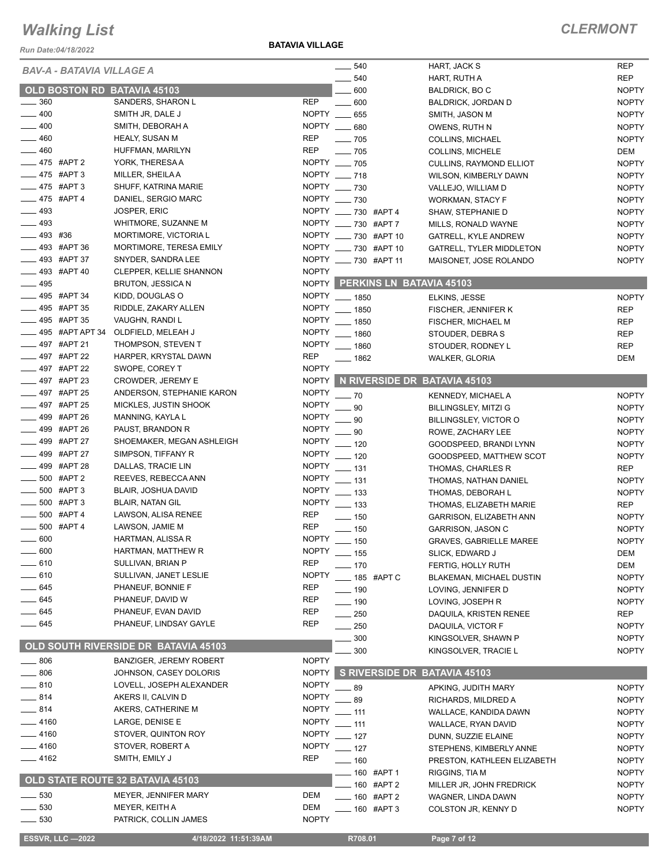*Run Date:04/18/2022*

#### **BATAVIA VILLAGE**

| <b>BAV-A - BATAVIA VILLAGE A</b> |                                      |              | $- 540$                        | HART, JACK S                    | <b>REP</b>   |
|----------------------------------|--------------------------------------|--------------|--------------------------------|---------------------------------|--------------|
|                                  |                                      |              | 540                            | HART, RUTH A                    | <b>REP</b>   |
| OLD BOSTON RD BATAVIA 45103      |                                      |              | 600                            | <b>BALDRICK, BO C</b>           | <b>NOPTY</b> |
| 360                              | SANDERS, SHARON L                    | <b>REP</b>   | $- 600$                        | BALDRICK, JORDAN D              | <b>NOPTY</b> |
| $-400$                           | SMITH JR, DALE J                     | NOPTY __     | 655                            | SMITH, JASON M                  | <b>NOPTY</b> |
| 400                              | SMITH, DEBORAH A                     |              | NOPTY __ 680                   | OWENS, RUTH N                   | <b>NOPTY</b> |
| 460                              | HEALY, SUSAN M                       | <b>REP</b>   | $\frac{1}{2}$ 705              | <b>COLLINS, MICHAEL</b>         | <b>NOPTY</b> |
| $-460$                           | HUFFMAN, MARILYN                     | <b>REP</b>   | $- 705$                        | <b>COLLINS, MICHELE</b>         | DEM          |
| __ 475 #APT 2                    | YORK, THERESA A                      |              | NOPTY __ 705                   |                                 | <b>NOPTY</b> |
| __ 475 #APT 3                    |                                      |              | NOPTY __ 718                   | CULLINS, RAYMOND ELLIOT         |              |
|                                  | MILLER, SHEILA A                     |              |                                | WILSON, KIMBERLY DAWN           | <b>NOPTY</b> |
| $-475$ #APT 3                    | SHUFF, KATRINA MARIE                 |              | NOPTY __ 730                   | VALLEJO, WILLIAM D              | <b>NOPTY</b> |
| __ 475 #APT 4                    | DANIEL, SERGIO MARC                  |              | NOPTY __ 730                   | WORKMAN, STACY F                | <b>NOPTY</b> |
| $-493$                           | JOSPER, ERIC                         |              | NOPTY ___ 730 #APT 4           | SHAW, STEPHANIE D               | <b>NOPTY</b> |
| $-493$                           | WHITMORE, SUZANNE M                  |              | NOPTY ____ 730 #APT 7          | MILLS, RONALD WAYNE             | <b>NOPTY</b> |
| $-493$ #36                       | MORTIMORE, VICTORIA L                |              | NOPTY __ 730 #APT 10           | <b>GATRELL, KYLE ANDREW</b>     | <b>NOPTY</b> |
| $\frac{1}{2}$ 493 #APT 36        | MORTIMORE, TERESA EMILY              |              | NOPTY __ 730 #APT 10           | GATRELL, TYLER MIDDLETON        | <b>NOPTY</b> |
| 493 #APT 37                      | SNYDER, SANDRA LEE                   |              | NOPTY ___ 730 #APT 11          | MAISONET, JOSE ROLANDO          | <b>NOPTY</b> |
| 493 #APT 40                      | <b>CLEPPER, KELLIE SHANNON</b>       | <b>NOPTY</b> |                                |                                 |              |
| 495                              | BRUTON, JESSICA N                    |              | NOPTY PERKINS LN BATAVIA 45103 |                                 |              |
| <sub>_</sub> __ 495 #APT 34      | KIDD, DOUGLAS O                      |              | NOPTY __ 1850                  | ELKINS, JESSE                   | <b>NOPTY</b> |
| <sub>—</sub> 495 #APT 35         | RIDDLE, ZAKARY ALLEN                 |              | NOPTY __ 1850                  |                                 | <b>REP</b>   |
| __ 495 #APT 35                   | VAUGHN, RANDI L                      | <b>NOPTY</b> |                                | FISCHER, JENNIFER K             |              |
|                                  |                                      |              | $- 1850$                       | FISCHER, MICHAEL M              | <b>REP</b>   |
| <b>495 #APT APT 34</b>           | OLDFIELD, MELEAH J                   |              | NOPTY __ 1860                  | STOUDER, DEBRA S                | <b>REP</b>   |
| 497 #APT 21                      | THOMPSON, STEVEN T                   | <b>NOPTY</b> | $- 1860$                       | STOUDER, RODNEY L               | <b>REP</b>   |
| - 497 #APT 22                    | HARPER, KRYSTAL DAWN                 | <b>REP</b>   | $- 1862$                       | <b>WALKER, GLORIA</b>           | <b>DEM</b>   |
| _497 #APT 22                     | SWOPE, COREY T                       | <b>NOPTY</b> |                                |                                 |              |
| __ 497 #APT 23                   | CROWDER, JEREMY E                    | <b>NOPTY</b> | N RIVERSIDE DR BATAVIA 45103   |                                 |              |
| __ 497 #APT 25                   | ANDERSON, STEPHANIE KARON            | <b>NOPTY</b> | $-70$                          | KENNEDY, MICHAEL A              | <b>NOPTY</b> |
| 497 #APT 25                      | MICKLES, JUSTIN SHOOK                | <b>NOPTY</b> | 90                             | <b>BILLINGSLEY, MITZI G</b>     | <b>NOPTY</b> |
| 499 #APT 26                      | MANNING, KAYLA L                     | <b>NOPTY</b> | 90                             | BILLINGSLEY, VICTOR O           | <b>NOPTY</b> |
| 499 #APT 26                      | PAUST, BRANDON R                     | <b>NOPTY</b> | . 90                           | ROWE, ZACHARY LEE               | <b>NOPTY</b> |
| 499 #APT 27                      | SHOEMAKER, MEGAN ASHLEIGH            | <b>NOPTY</b> | $=$ 120                        | GOODSPEED, BRANDI LYNN          | <b>NOPTY</b> |
| _499 #APT 27                     | SIMPSON, TIFFANY R                   | <b>NOPTY</b> | $-120$                         |                                 |              |
| 499 #APT 28                      | DALLAS, TRACIE LIN                   | <b>NOPTY</b> |                                | GOODSPEED, MATTHEW SCOT         | <b>NOPTY</b> |
| 500 #APT 2                       | REEVES, REBECCA ANN                  | <b>NOPTY</b> | $-131$                         | THOMAS, CHARLES R               | <b>REP</b>   |
| 500 #APT 3                       |                                      | <b>NOPTY</b> | $\equiv$ 131                   | THOMAS, NATHAN DANIEL           | <b>NOPTY</b> |
|                                  | <b>BLAIR, JOSHUA DAVID</b>           |              | $\frac{1}{2}$ 133              | THOMAS, DEBORAH L               | <b>NOPTY</b> |
| 500 #APT 3                       | <b>BLAIR, NATAN GIL</b>              | <b>NOPTY</b> | $\frac{1}{2}$ 133              | THOMAS, ELIZABETH MARIE         | <b>REP</b>   |
| 500 #APT 4                       | LAWSON, ALISA RENEE                  | <b>REP</b>   | $- 150$                        | GARRISON, ELIZABETH ANN         | <b>NOPTY</b> |
| 500 #APT 4                       | LAWSON, JAMIE M                      | <b>REP</b>   | $\frac{1}{2}$ 150              | GARRISON, JASON C               | <b>NOPTY</b> |
| $-600$                           | HARTMAN, ALISSA R                    | <b>NOPTY</b> | $-150$                         | <b>GRAVES, GABRIELLE MAREE</b>  | <b>NOPTY</b> |
| 600                              | HARTMAN, MATTHEW R                   | <b>NOPTY</b> | —— 155                         | SLICK, EDWARD J                 | DEM          |
| - 610                            | SULLIVAN, BRIAN P                    | <b>REP</b>   | $-170$                         | FERTIG, HOLLY RUTH              | DEM          |
| $-610$                           | SULLIVAN, JANET LESLIE               | <b>NOPTY</b> | _ 185 #APT C                   | <b>BLAKEMAN, MICHAEL DUSTIN</b> | <b>NOPTY</b> |
| 645                              | PHANEUF, BONNIE F                    | <b>REP</b>   | —— 190                         | LOVING, JENNIFER D              | <b>NOPTY</b> |
| $-645$                           | PHANEUF, DAVID W                     | <b>REP</b>   | $\frac{1}{2}$ 190              | LOVING, JOSEPH R                | <b>NOPTY</b> |
| $-645$                           | PHANEUF, EVAN DAVID                  | <b>REP</b>   | $\frac{1}{250}$                | DAQUILA, KRISTEN RENEE          | <b>REP</b>   |
| $-645$                           | PHANEUF, LINDSAY GAYLE               | <b>REP</b>   |                                |                                 |              |
|                                  |                                      |              | $\sim$ 250                     | DAQUILA, VICTOR F               | <b>NOPTY</b> |
|                                  | OLD SOUTH RIVERSIDE DR BATAVIA 45103 |              | 300                            | KINGSOLVER, SHAWN P             | <b>NOPTY</b> |
|                                  |                                      |              | 300                            | KINGSOLVER, TRACIE L            | <b>NOPTY</b> |
| $-806$                           | BANZIGER, JEREMY ROBERT              | <b>NOPTY</b> |                                |                                 |              |
| $-806$                           | JOHNSON, CASEY DOLORIS               |              | NOPTY S RIVERSIDE DR           | <b>BATAVIA 45103</b>            |              |
| $-810$                           | LOVELL, JOSEPH ALEXANDER             | <b>NOPTY</b> | .89                            | APKING, JUDITH MARY             | <b>NOPTY</b> |
| - 814                            | AKERS II, CALVIN D                   | <b>NOPTY</b> | $-89$                          | RICHARDS, MILDRED A             | <b>NOPTY</b> |
| $-814$                           | AKERS, CATHERINE M                   | <b>NOPTY</b> | $-111$                         | WALLACE, KANDIDA DAWN           | <b>NOPTY</b> |
| _ 4160                           | LARGE, DENISE E                      | <b>NOPTY</b> | $-111$                         | WALLACE, RYAN DAVID             | <b>NOPTY</b> |
| $-4160$                          | STOVER, QUINTON ROY                  | <b>NOPTY</b> | $-127$                         | DUNN, SUZZIE ELAINE             | <b>NOPTY</b> |
| $-4160$                          | STOVER, ROBERT A                     | <b>NOPTY</b> | $-127$                         | STEPHENS, KIMBERLY ANNE         | <b>NOPTY</b> |
| $-4162$                          | SMITH, EMILY J                       | <b>REP</b>   | $- 160$                        | PRESTON, KATHLEEN ELIZABETH     | <b>NOPTY</b> |
|                                  |                                      |              |                                |                                 |              |
|                                  | OLD STATE ROUTE 32 BATAVIA 45103     |              | — 160 #APT 1                   | RIGGINS, TIA M                  | <b>NOPTY</b> |
|                                  |                                      |              | 160 #APT 2                     | MILLER JR, JOHN FREDRICK        | <b>NOPTY</b> |
| 530                              | <b>MEYER, JENNIFER MARY</b>          | <b>DEM</b>   | ____ 160 #APT 2                | WAGNER, LINDA DAWN              | <b>NOPTY</b> |
| 530                              | MEYER, KEITH A                       | DEM          | $- 160$ #APT 3                 | COLSTON JR, KENNY D             | <b>NOPTY</b> |
| $-530$                           | PATRICK, COLLIN JAMES                | <b>NOPTY</b> |                                |                                 |              |
| <b>ESSVR, LLC -2022</b>          | 4/18/2022 11:51:39AM                 |              | R708.01                        | Page 7 of 12                    |              |
|                                  |                                      |              |                                |                                 |              |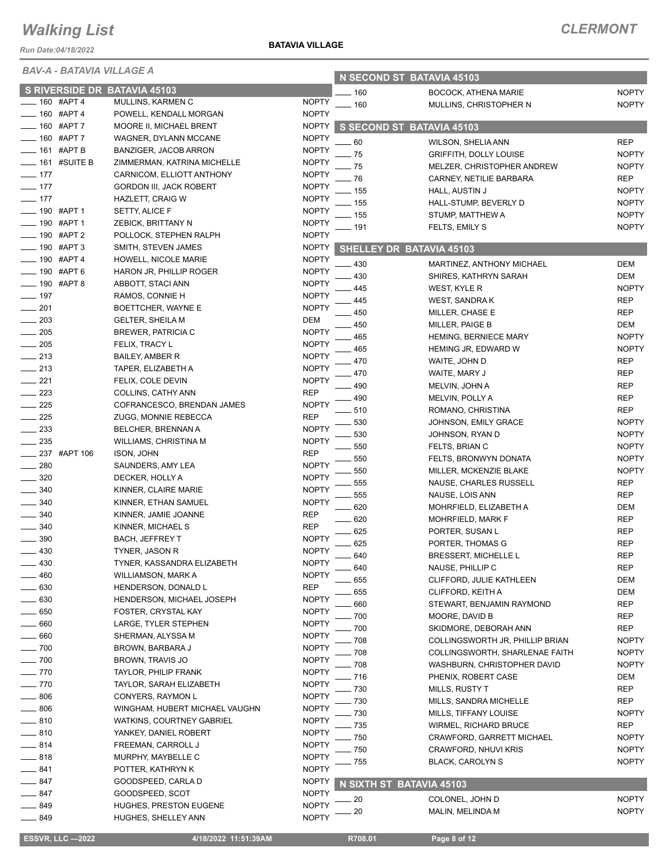*Run Date:04/18/2022*

*BAV-A - BATAVIA VILLAGE A*

**BATAVIA VILLAGE**

| BAV-A - BAIAVIA VILLAGE A       |                   |                                  |              | N SECOND ST BATAVIA 45103 |                                  |              |
|---------------------------------|-------------------|----------------------------------|--------------|---------------------------|----------------------------------|--------------|
|                                 |                   | S RIVERSIDE DR BATAVIA 45103     |              | 160                       | <b>BOCOCK, ATHENA MARIE</b>      | <b>NOPTY</b> |
|                                 | 160 #APT 4        | MULLINS, KARMEN C                | <b>NOPTY</b> | 160                       | MULLINS, CHRISTOPHER N           | <b>NOPTY</b> |
|                                 | 160 #APT 4        | POWELL, KENDALL MORGAN           | <b>NOPTY</b> |                           |                                  |              |
|                                 | 160 #APT 7        | MOORE II, MICHAEL BRENT          | <b>NOPTY</b> |                           | S SECOND ST BATAVIA 45103        |              |
|                                 | 160 #APT 7        | WAGNER, DYLANN MCCANE            | <b>NOPTY</b> | 60                        | WILSON, SHELIA ANN               | <b>REP</b>   |
|                                 | $-161$ #APT B     | BANZIGER, JACOB ARRON            | <b>NOPTY</b> | 75                        | <b>GRIFFITH, DOLLY LOUISE</b>    | <b>NOPTY</b> |
|                                 | $\_$ 161 #SUITE B | ZIMMERMAN, KATRINA MICHELLE      | <b>NOPTY</b> | 75                        | MELZER, CHRISTOPHER ANDREW       | <b>NOPTY</b> |
| $- 177$                         |                   | CARNICOM, ELLIOTT ANTHONY        | <b>NOPTY</b> | 76                        | CARNEY, NETILIE BARBARA          | <b>REP</b>   |
| $-177$                          |                   | <b>GORDON III, JACK ROBERT</b>   | <b>NOPTY</b> | . 155                     | HALL, AUSTIN J                   | <b>NOPTY</b> |
| $- 177$                         |                   | <b>HAZLETT, CRAIG W</b>          | <b>NOPTY</b> | 155                       | HALL-STUMP, BEVERLY D            | <b>NOPTY</b> |
| ____ 190 #APT 1                 |                   | SETTY, ALICE F                   | <b>NOPTY</b> | - 155                     | STUMP, MATTHEW A                 | <b>NOPTY</b> |
| <b>_____ 190 #APT 1</b>         |                   | ZEBICK, BRITTANY N               | <b>NOPTY</b> | - 191                     | FELTS, EMILY S                   | <b>NOPTY</b> |
|                                 | __ 190 #APT 2     | POLLOCK, STEPHEN RALPH           | <b>NOPTY</b> |                           |                                  |              |
|                                 | 190 #APT 3        | SMITH, STEVEN JAMES              | <b>NOPTY</b> |                           | SHELLEY DR BATAVIA 45103         |              |
|                                 | 190 #APT 4        | HOWELL, NICOLE MARIE             | <b>NOPTY</b> | 430                       | MARTINEZ, ANTHONY MICHAEL        | <b>DEM</b>   |
|                                 | 190 #APT 6        | HARON JR, PHILLIP ROGER          | <b>NOPTY</b> | 430                       | SHIRES, KATHRYN SARAH            | <b>DEM</b>   |
|                                 | 190 #APT 8        | ABBOTT, STACI ANN                | <b>NOPTY</b> | 445                       | WEST, KYLE R                     | <b>NOPTY</b> |
| $-197$                          |                   | RAMOS, CONNIE H                  | <b>NOPTY</b> | 445                       | WEST, SANDRA K                   | <b>REP</b>   |
| 201                             |                   | BOETTCHER, WAYNE E               | <b>NOPTY</b> | 450                       | MILLER, CHASE E                  | <b>REP</b>   |
| 203                             |                   | <b>GELTER, SHEILA M</b>          | <b>DEM</b>   | 450                       | MILLER, PAIGE B                  | DEM          |
| 205                             |                   | <b>BREWER, PATRICIA C</b>        | <b>NOPTY</b> | 465                       | <b>HEMING, BERNIECE MARY</b>     | <b>NOPTY</b> |
| 205                             |                   | FELIX, TRACY L                   | <b>NOPTY</b> | 465                       | HEMING JR, EDWARD W              | <b>NOPTY</b> |
| $-213$                          |                   | <b>BAILEY, AMBER R</b>           | <b>NOPTY</b> | 470                       | WAITE, JOHN D                    | <b>REP</b>   |
| $-213$                          |                   | TAPER, ELIZABETH A               | <b>NOPTY</b> | 470                       | WAITE, MARY J                    | <b>REP</b>   |
| $-221$                          |                   | FELIX, COLE DEVIN                | <b>NOPTY</b> | 490                       | MELVIN, JOHN A                   | <b>REP</b>   |
| 223                             |                   | COLLINS, CATHY ANN               | <b>REP</b>   | 490                       | MELVIN, POLLY A                  | <b>REP</b>   |
| 225                             |                   | COFRANCESCO, BRENDAN JAMES       | <b>NOPTY</b> | 510                       | ROMANO, CHRISTINA                | <b>REP</b>   |
| $-225$                          |                   | ZUGG, MONNIE REBECCA             | <b>REP</b>   | 530                       | JOHNSON, EMILY GRACE             | <b>NOPTY</b> |
| 233                             |                   | BELCHER, BRENNAN A               | <b>NOPTY</b> | 530                       | JOHNSON, RYAN D                  | <b>NOPTY</b> |
| $\sim$ 235                      |                   | WILLIAMS, CHRISTINA M            | <b>NOPTY</b> | 550                       | FELTS, BRIAN C                   | <b>NOPTY</b> |
|                                 | 237 #APT 106      | ISON, JOHN                       | <b>REP</b>   | 550                       | FELTS, BRONWYN DONATA            | <b>NOPTY</b> |
| 280                             |                   | SAUNDERS, AMY LEA                | <b>NOPTY</b> | 550                       | MILLER, MCKENZIE BLAKE           | <b>NOPTY</b> |
| 320                             |                   | DECKER, HOLLY A                  | <b>NOPTY</b> | 555                       | NAUSE, CHARLES RUSSELL           | <b>REP</b>   |
| 340                             |                   | KINNER, CLAIRE MARIE             | <b>NOPTY</b> | 555                       | NAUSE, LOIS ANN                  | <b>REP</b>   |
| 340                             |                   | KINNER, ETHAN SAMUEL             | <b>NOPTY</b> | 620                       | MOHRFIELD, ELIZABETH A           | DEM          |
| 340                             |                   | KINNER, JAMIE JOANNE             | <b>REP</b>   | 620                       | MOHRFIELD, MARK F                | <b>REP</b>   |
| $-340$                          |                   | KINNER, MICHAEL S                | <b>REP</b>   | 625                       | PORTER, SUSAN L                  | <b>REP</b>   |
| 390                             |                   | <b>BACH, JEFFREY T</b>           | <b>NOPTY</b> | 625                       | PORTER, THOMAS G                 | <b>REP</b>   |
| $-430$                          |                   | TYNER, JASON R                   | <b>NOPTY</b> | 640                       | <b>BRESSERT, MICHELLE L</b>      | <b>REP</b>   |
| 430                             |                   | TYNER, KASSANDRA ELIZABETH       | <b>NOPTY</b> | 640                       | NAUSE, PHILLIP C                 | <b>REP</b>   |
| 460                             |                   | <b>WILLIAMSON, MARK A</b>        | <b>NOPTY</b> | 655                       | CLIFFORD, JULIE KATHLEEN         | DEM          |
| $-630$                          |                   | HENDERSON, DONALD L              | <b>REP</b>   | 655                       | CLIFFORD, KEITH A                | DEM          |
| 630                             |                   | HENDERSON, MICHAEL JOSEPH        | <b>NOPTY</b> | 660                       | STEWART, BENJAMIN RAYMOND        | <b>REP</b>   |
| 650                             |                   | FOSTER, CRYSTAL KAY              | <b>NOPTY</b> | 700                       | MOORE, DAVID B                   | <b>REP</b>   |
| 660                             |                   | LARGE, TYLER STEPHEN             | <b>NOPTY</b> | 700                       | SKIDMORE, DEBORAH ANN            | <b>REP</b>   |
| 660                             |                   | SHERMAN, ALYSSA M                | <b>NOPTY</b> | 708                       | COLLINGSWORTH JR, PHILLIP BRIAN  | <b>NOPTY</b> |
| _ 700                           |                   | BROWN, BARBARA J                 | <b>NOPTY</b> | 708                       | COLLINGSWORTH, SHARLENAE FAITH   | <b>NOPTY</b> |
| $-700$                          |                   | BROWN, TRAVIS JO                 | <b>NOPTY</b> | 708                       | WASHBURN, CHRISTOPHER DAVID      | <b>NOPTY</b> |
| 770                             |                   | TAYLOR, PHILIP FRANK             | <b>NOPTY</b> | 716                       | PHENIX, ROBERT CASE              | DEM          |
| $-770$                          |                   | TAYLOR, SARAH ELIZABETH          | <b>NOPTY</b> | 730                       | <b>MILLS, RUSTY T</b>            | <b>REP</b>   |
| 806                             |                   | CONYERS, RAYMON L                | <b>NOPTY</b> | 730                       | MILLS, SANDRA MICHELLE           | <b>REP</b>   |
| 806<br>$\overline{\phantom{0}}$ |                   | WINGHAM, HUBERT MICHAEL VAUGHN   | <b>NOPTY</b> | 730                       | MILLS, TIFFANY LOUISE            | <b>NOPTY</b> |
| $- 810$                         |                   | <b>WATKINS, COURTNEY GABRIEL</b> | <b>NOPTY</b> | 735                       | WIRMEL, RICHARD BRUCE            | <b>REP</b>   |
| 810                             |                   | YANKEY, DANIEL ROBERT            | <b>NOPTY</b> | 750                       | <b>CRAWFORD, GARRETT MICHAEL</b> | <b>NOPTY</b> |
| $-814$                          |                   | FREEMAN, CARROLL J               | <b>NOPTY</b> | 750                       | CRAWFORD, NHUVI KRIS             | <b>NOPTY</b> |
| $-818$                          |                   | MURPHY, MAYBELLE C               | <b>NOPTY</b> | 755                       | BLACK, CAROLYN S                 | <b>NOPTY</b> |
| ____ 841                        |                   | POTTER, KATHRYN K                | <b>NOPTY</b> |                           |                                  |              |
| $-847$                          |                   | GOODSPEED, CARLA D               | <b>NOPTY</b> |                           | N SIXTH ST BATAVIA 45103         |              |
| _ 847                           |                   | GOODSPEED, SCOT                  | <b>NOPTY</b> | 20                        | COLONEL, JOHN D                  | <b>NOPTY</b> |
| _ 849                           |                   | <b>HUGHES, PRESTON EUGENE</b>    | <b>NOPTY</b> | 20                        | MALIN, MELINDA M                 | <b>NOPTY</b> |
| _ 849                           |                   | HUGHES, SHELLEY ANN              | <b>NOPTY</b> |                           |                                  |              |

**ESSVR, LLC -2022 4/18/2022 11:51:39AM** R708.01 **Page 8 of 12**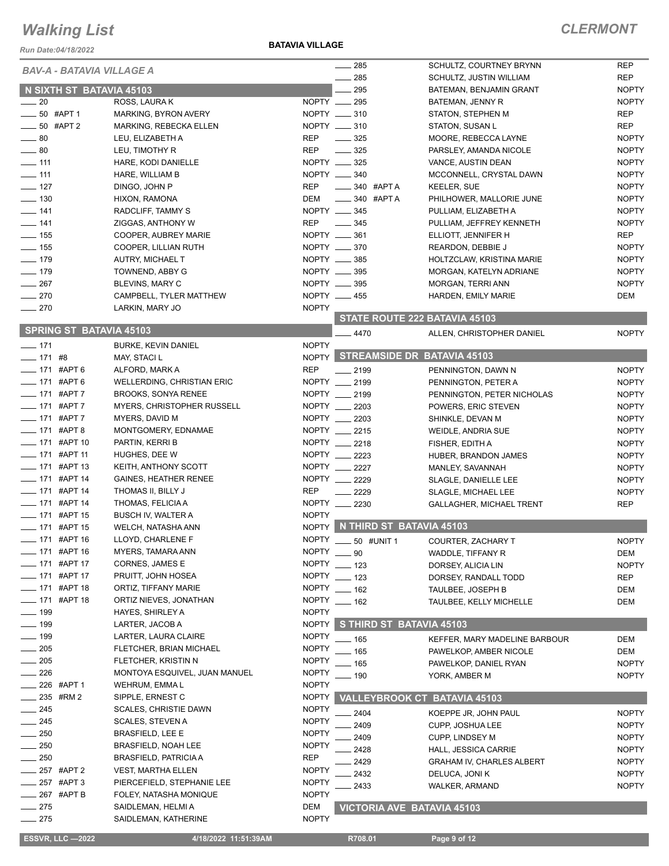*Run Date:04/18/2022*

**BATAVIA VILLAGE**

|                                       |                                   |              | 285                      |                                | SCHULTZ, COURTNEY BRYNN             | <b>REP</b>   |
|---------------------------------------|-----------------------------------|--------------|--------------------------|--------------------------------|-------------------------------------|--------------|
| <b>BAV-A - BATAVIA VILLAGE A</b>      |                                   |              | $\frac{1}{285}$          |                                |                                     | <b>REP</b>   |
|                                       |                                   |              | $\sim$ 295               |                                | SCHULTZ, JUSTIN WILLIAM             | <b>NOPTY</b> |
| N SIXTH ST BATAVIA 45103<br>$\sim$ 20 |                                   |              | NOPTY __ 295             |                                | BATEMAN, BENJAMIN GRANT             |              |
|                                       | ROSS, LAURA K                     |              | NOPTY __ 310             |                                | BATEMAN, JENNY R                    | <b>NOPTY</b> |
| $-50$ #APT 1                          | MARKING, BYRON AVERY              |              | NOPTY __ 310             |                                | STATON, STEPHEN M                   | <b>REP</b>   |
| $\frac{1}{2}$ 50 #APT 2               | MARKING, REBECKA ELLEN            |              |                          |                                | <b>STATON, SUSAN L</b>              | <b>REP</b>   |
| $\sim$ 80                             | LEU, ELIZABETH A                  | <b>REP</b>   | $\frac{1}{2}$ 325        |                                | MOORE, REBECCA LAYNE                | <b>NOPTY</b> |
| $\frac{1}{2}$ 80                      | LEU, TIMOTHY R                    | <b>REP</b>   | $\frac{1}{2}$ 325        |                                | PARSLEY, AMANDA NICOLE              | <b>NOPTY</b> |
| $- 111$                               | HARE, KODI DANIELLE               |              | NOPTY __ 325             |                                | VANCE, AUSTIN DEAN                  | <b>NOPTY</b> |
| $\frac{1}{111}$                       | HARE, WILLIAM B                   |              | NOPTY __ 340             |                                | MCCONNELL, CRYSTAL DAWN             | <b>NOPTY</b> |
| $\frac{1}{2}$ 127                     | DINGO, JOHN P                     | <b>REP</b>   | $\frac{1}{2}$ 340 #APT A |                                | <b>KEELER, SUE</b>                  | <b>NOPTY</b> |
| $\frac{1}{2}$ 130                     | HIXON, RAMONA                     | DEM          | $\frac{1}{2}$ 340 #APT A |                                | PHILHOWER, MALLORIE JUNE            | <b>NOPTY</b> |
| $- 141$                               | RADCLIFF, TAMMY S                 |              | NOPTY __ 345             |                                | PULLIAM, ELIZABETH A                | <b>NOPTY</b> |
| $- 141$                               | ZIGGAS, ANTHONY W                 | <b>REP</b>   | $\frac{1}{2}$ 345        |                                | PULLIAM, JEFFREY KENNETH            | <b>NOPTY</b> |
| $\frac{1}{2}$ 155                     | COOPER, AUBREY MARIE              |              | NOPTY __ 361             |                                | ELLIOTT, JENNIFER H                 | REP          |
| $\frac{1}{2}$ 155                     | COOPER, LILLIAN RUTH              |              | NOPTY __ 370             |                                | REARDON, DEBBIE J                   | <b>NOPTY</b> |
| $- 179$                               | AUTRY, MICHAEL T                  |              | NOPTY __ 385             |                                | HOLTZCLAW, KRISTINA MARIE           | <b>NOPTY</b> |
| $- 179$                               | TOWNEND, ABBY G                   |              | NOPTY __ 395             |                                | MORGAN, KATELYN ADRIANE             | <b>NOPTY</b> |
| 267                                   | BLEVINS, MARY C                   |              | NOPTY __ 395             |                                | <b>MORGAN, TERRI ANN</b>            | <b>NOPTY</b> |
| $-270$                                | CAMPBELL, TYLER MATTHEW           |              | NOPTY __ 455             |                                | HARDEN, EMILY MARIE                 | DEM          |
| $-270$                                | LARKIN, MARY JO                   | <b>NOPTY</b> |                          |                                |                                     |              |
|                                       |                                   |              |                          |                                | STATE ROUTE 222 BATAVIA 45103       |              |
| <b>SPRING ST BATAVIA 45103</b>        |                                   |              | 4470                     |                                | ALLEN, CHRISTOPHER DANIEL           | <b>NOPTY</b> |
| $-171$                                | <b>BURKE, KEVIN DANIEL</b>        | <b>NOPTY</b> |                          |                                |                                     |              |
| $- 171$ #8                            |                                   |              |                          |                                | NOPTY STREAMSIDE DR BATAVIA 45103   |              |
|                                       | MAY, STACI L                      |              |                          |                                |                                     |              |
| ___ 171 #APT 6                        | ALFORD, MARK A                    | <b>REP</b>   | $-2199$                  |                                | PENNINGTON, DAWN N                  | <b>NOPTY</b> |
| $- 171$ #APT 6                        | WELLERDING, CHRISTIAN ERIC        |              | NOPTY __ 2199            |                                | PENNINGTON, PETER A                 | <b>NOPTY</b> |
| $- 171$ #APT 7                        | <b>BROOKS, SONYA RENEE</b>        |              | NOPTY __ 2199            |                                | PENNINGTON, PETER NICHOLAS          | <b>NOPTY</b> |
| $- 171$ #APT 7                        | <b>MYERS, CHRISTOPHER RUSSELL</b> |              | NOPTY __ 2203            |                                | POWERS, ERIC STEVEN                 | <b>NOPTY</b> |
| <b>___ 171 #APT 7</b>                 | MYERS, DAVID M                    |              | NOPTY 2203               |                                | SHINKLE, DEVAN M                    | <b>NOPTY</b> |
| $- 171$ #APT 8                        | MONTGOMERY, EDNAMAE               |              | NOPTY __ 2215            |                                | WEIDLE, ANDRIA SUE                  | <b>NOPTY</b> |
| ___ 171 #APT 10                       | PARTIN, KERRI B                   |              | NOPTY __ 2218            |                                | FISHER, EDITH A                     | <b>NOPTY</b> |
| $-171$ #APT 11                        | HUGHES, DEE W                     |              | NOPTY __ 2223            |                                | HUBER, BRANDON JAMES                | <b>NOPTY</b> |
| $\frac{1}{2}$ 171 #APT 13             | KEITH, ANTHONY SCOTT              |              | NOPTY __ 2227            |                                | MANLEY, SAVANNAH                    | <b>NOPTY</b> |
| $\frac{1}{2}$ 171 #APT 14             | <b>GAINES, HEATHER RENEE</b>      |              | NOPTY __ 2229            |                                | SLAGLE, DANIELLE LEE                | <b>NOPTY</b> |
| $\frac{1}{2}$ 171 #APT 14             | THOMAS II, BILLY J                | <b>REP</b>   | $-2229$                  |                                | SLAGLE, MICHAEL LEE                 | <b>NOPTY</b> |
| $\frac{1}{2}$ 171 #APT 14             | THOMAS, FELICIA A                 |              | NOPTY 2230               |                                | <b>GALLAGHER, MICHAEL TRENT</b>     | <b>REP</b>   |
| $- 171$ #APT 15                       | <b>BUSCH IV, WALTER A</b>         | <b>NOPTY</b> |                          |                                |                                     |              |
| ____ 171 #APT 15                      | WELCH, NATASHA ANN                |              |                          | NOPTY N THIRD ST BATAVIA 45103 |                                     |              |
| ____ 171 #APT 16                      | LLOYD, CHARLENE F                 | <b>NOPTY</b> |                          |                                |                                     | <b>NOPTY</b> |
| __ 171 #APT 16                        | MYERS, TAMARA ANN                 | NOPTY __ 90  |                          | 50 #UNIT 1                     | <b>COURTER, ZACHARY T</b>           |              |
| $-171$ #APT 17                        |                                   | <b>NOPTY</b> |                          |                                | WADDLE, TIFFANY R                   | DEM          |
|                                       | CORNES, JAMES E                   |              | $-123$                   |                                | DORSEY, ALICIA LIN                  | <b>NOPTY</b> |
| ____ 171 #APT 17                      | PRUITT, JOHN HOSEA                | <b>NOPTY</b> | ____ 123                 |                                | DORSEY, RANDALL TODD                | <b>REP</b>   |
| $\frac{1}{2}$ 171 #APT 18             | ORTIZ, TIFFANY MARIE              | <b>NOPTY</b> | $- 162$                  |                                | TAULBEE, JOSEPH B                   | DEM          |
| ___ 171 #APT 18                       | ORTIZ NIEVES, JONATHAN            | <b>NOPTY</b> | $-$ 162                  |                                | TAULBEE, KELLY MICHELLE             | DEM          |
| $\frac{1}{2}$ 199                     | HAYES, SHIRLEY A                  | <b>NOPTY</b> |                          |                                |                                     |              |
| $- 199$                               | LARTER, JACOB A                   |              |                          | NOPTY S THIRD ST BATAVIA 45103 |                                     |              |
| $-199$                                | LARTER, LAURA CLAIRE              | <b>NOPTY</b> | $-165$                   |                                | KEFFER, MARY MADELINE BARBOUR       | DEM          |
| $\frac{1}{205}$                       | FLETCHER, BRIAN MICHAEL           | <b>NOPTY</b> | . 165                    |                                | PAWELKOP, AMBER NICOLE              | DEM          |
| $-205$                                | FLETCHER, KRISTIN N               | <b>NOPTY</b> | . 165                    |                                | PAWELKOP, DANIEL RYAN               | <b>NOPTY</b> |
| $-226$                                | MONTOYA ESQUIVEL, JUAN MANUEL     | <b>NOPTY</b> | $-190$                   |                                | YORK, AMBER M                       | <b>NOPTY</b> |
| $-226$ #APT 1                         | WEHRUM, EMMA L                    | <b>NOPTY</b> |                          |                                |                                     |              |
| 235 #RM 2                             | SIPPLE, ERNEST C                  | <b>NOPTY</b> |                          |                                | <b>VALLEYBROOK CT BATAVIA 45103</b> |              |
| 245                                   | <b>SCALES, CHRISTIE DAWN</b>      | <b>NOPTY</b> |                          |                                |                                     |              |
| 245                                   | SCALES, STEVEN A                  | <b>NOPTY</b> | 2404                     |                                | KOEPPE JR, JOHN PAUL                | <b>NOPTY</b> |
| 250                                   | <b>BRASFIELD, LEE E</b>           | <b>NOPTY</b> | 2409                     |                                | <b>CUPP, JOSHUA LEE</b>             | <b>NOPTY</b> |
|                                       |                                   |              | 2409                     |                                | <b>CUPP, LINDSEY M</b>              | <b>NOPTY</b> |
| 250                                   | BRASFIELD, NOAH LEE               | <b>NOPTY</b> | 2428                     |                                | HALL, JESSICA CARRIE                | <b>NOPTY</b> |
| 250                                   | <b>BRASFIELD, PATRICIA A</b>      | <b>REP</b>   | 2429                     |                                | <b>GRAHAM IV, CHARLES ALBERT</b>    | <b>NOPTY</b> |
| 257 #APT 2                            | <b>VEST, MARTHA ELLEN</b>         | <b>NOPTY</b> | 2432                     |                                | DELUCA, JONI K                      | <b>NOPTY</b> |
| _ 257 #APT 3                          | PIERCEFIELD, STEPHANIE LEE        | <b>NOPTY</b> | 2433                     |                                | <b>WALKER, ARMAND</b>               | <b>NOPTY</b> |
| $-267$ #APT B                         | FOLEY, NATASHA MONIQUE            | <b>NOPTY</b> |                          |                                |                                     |              |
| $\frac{1}{275}$                       | SAIDLEMAN, HELMI A                | DEM          |                          |                                | <b>VICTORIA AVE BATAVIA 45103</b>   |              |
| $-275$                                | SAIDLEMAN, KATHERINE              | <b>NOPTY</b> |                          |                                |                                     |              |
|                                       |                                   |              |                          |                                |                                     |              |
| <b>ESSVR, LLC -2022</b>               | 4/18/2022 11:51:39AM              |              | R708.01                  |                                | Page 9 of 12                        |              |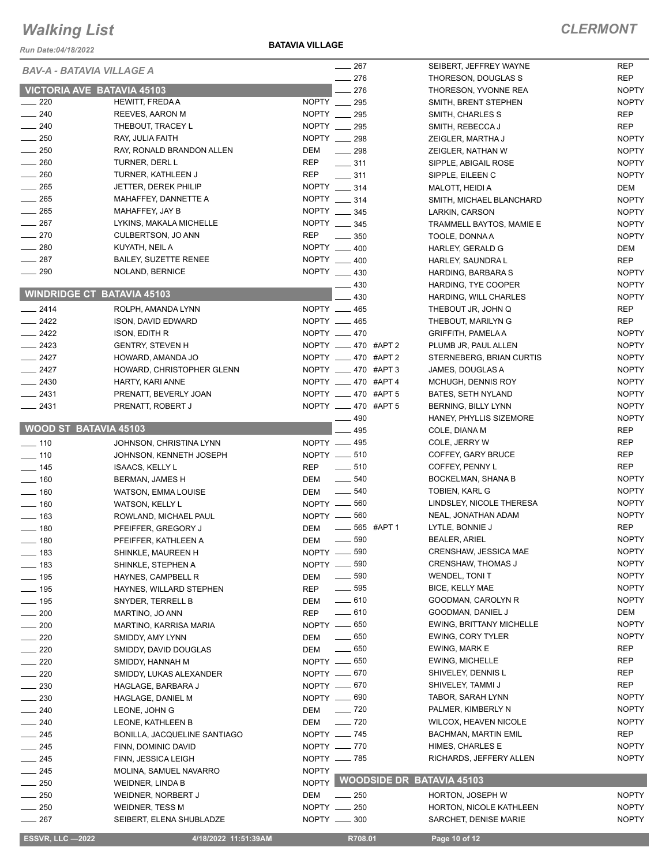*Run Date:04/18/2022*

**BATAVIA VILLAGE**

| <b>BAV-A - BATAVIA VILLAGE A</b>   |                                               |                              | 267                                          | SEIBERT, JEFFREY WAYNE                           | <b>REP</b>                   |
|------------------------------------|-----------------------------------------------|------------------------------|----------------------------------------------|--------------------------------------------------|------------------------------|
|                                    |                                               |                              | 276                                          | THORESON, DOUGLAS S                              | <b>REP</b>                   |
| VICTORIA AVE BATAVIA 45103         |                                               |                              | 276                                          | THORESON, YVONNE REA                             | <b>NOPTY</b>                 |
| $\frac{1}{220}$                    | HEWITT, FREDA A                               | NOPTY __                     | 295                                          | SMITH, BRENT STEPHEN                             | <b>NOPTY</b>                 |
| $\frac{1}{240}$                    | REEVES, AARON M                               | NOPTY __ 295                 |                                              | SMITH, CHARLES S                                 | <b>REP</b>                   |
| $\frac{1}{240}$                    | THEBOUT, TRACEY L                             | NOPTY __ 295                 |                                              | SMITH, REBECCA J                                 | <b>REP</b>                   |
| $\frac{1}{250}$                    | RAY, JULIA FAITH                              | NOPTY 298                    |                                              | ZEIGLER, MARTHA J                                | <b>NOPTY</b>                 |
| $\frac{1}{250}$                    | RAY, RONALD BRANDON ALLEN                     | DEM                          | $\frac{1}{298}$                              | ZEIGLER, NATHAN W                                | <b>NOPTY</b>                 |
| $\sim$ 260                         | TURNER, DERL L                                | <b>REP</b>                   | $\frac{1}{2}$ 311                            | SIPPLE, ABIGAIL ROSE                             | <b>NOPTY</b>                 |
| $\frac{1}{260}$                    | TURNER, KATHLEEN J                            | <b>REP</b><br>NOPTY __ 314   | $- 311$                                      | SIPPLE, EILEEN C                                 | <b>NOPTY</b>                 |
| $-265$                             | <b>JETTER, DEREK PHILIP</b>                   |                              |                                              | MALOTT, HEIDI A                                  | DEM                          |
| $\frac{1}{265}$                    | MAHAFFEY, DANNETTE A                          | NOPTY _____ 314              |                                              | SMITH, MICHAEL BLANCHARD                         | <b>NOPTY</b>                 |
| $\frac{1}{265}$<br>$\frac{1}{267}$ | MAHAFFEY, JAY B                               | NOPTY __ 345<br>NOPTY __ 345 |                                              | LARKIN, CARSON                                   | <b>NOPTY</b>                 |
| $-270$                             | LYKINS, MAKALA MICHELLE<br>CULBERTSON, JO ANN | <b>REP</b>                   |                                              | TRAMMELL BAYTOS, MAMIE E                         | <b>NOPTY</b>                 |
| $\frac{1}{280}$                    | KUYATH, NEIL A                                | <b>NOPTY</b>                 | 350                                          | TOOLE, DONNA A                                   | <b>NOPTY</b>                 |
| $\frac{1}{287}$                    | <b>BAILEY, SUZETTE RENEE</b>                  | NOPTY 400                    | 400                                          | HARLEY, GERALD G                                 | <b>DEM</b>                   |
| $\frac{1}{290}$                    |                                               | NOPTY 430                    |                                              | HARLEY, SAUNDRA L                                | <b>REP</b>                   |
|                                    | NOLAND, BERNICE                               |                              |                                              | HARDING, BARBARA S                               | <b>NOPTY</b>                 |
| <b>WINDRIDGE CT BATAVIA 45103</b>  |                                               |                              | 430                                          | HARDING, TYE COOPER                              | <b>NOPTY</b>                 |
|                                    |                                               | NOPTY __ 465                 | 430                                          | HARDING, WILL CHARLES                            | <b>NOPTY</b>                 |
| $-2414$                            | ROLPH, AMANDA LYNN                            | NOPTY __ 465                 |                                              | THEBOUT JR, JOHN Q                               | <b>REP</b>                   |
| $\frac{2422}{2}$                   | ISON, DAVID EDWARD                            |                              |                                              | THEBOUT, MARILYN G                               | <b>REP</b>                   |
| $\sim$ 2422                        | <b>ISON, EDITH R</b>                          | NOPTY __ 470                 | NOPTY ____ 470 #APT 2                        | <b>GRIFFITH, PAMELA A</b>                        | <b>NOPTY</b>                 |
| $\frac{2423}{2}$                   | <b>GENTRY, STEVEN H</b>                       |                              | NOPTY __ 470 #APT 2                          | PLUMB JR, PAUL ALLEN                             | <b>NOPTY</b>                 |
| $-2427$                            | HOWARD, AMANDA JO                             |                              |                                              | STERNEBERG, BRIAN CURTIS                         | <b>NOPTY</b>                 |
| $-2427$<br>$-2430$                 | HOWARD, CHRISTOPHER GLENN                     |                              | NOPTY __ 470 #APT 3                          | JAMES, DOUGLAS A                                 | <b>NOPTY</b><br><b>NOPTY</b> |
| $-2431$                            | HARTY, KARI ANNE                              |                              | NOPTY ____ 470 #APT 4<br>NOPTY __ 470 #APT 5 | MCHUGH, DENNIS ROY                               | <b>NOPTY</b>                 |
| $-2431$                            | PRENATT, BEVERLY JOAN                         |                              | NOPTY ____ 470 #APT 5                        | <b>BATES, SETH NYLAND</b><br>BERNING, BILLY LYNN | <b>NOPTY</b>                 |
|                                    | PRENATT, ROBERT J                             |                              | 490                                          | HANEY, PHYLLIS SIZEMORE                          | <b>NOPTY</b>                 |
| <b>WOOD ST BATAVIA 45103</b>       |                                               |                              | 495                                          |                                                  | <b>REP</b>                   |
| $- 110$                            |                                               | NOPTY __ 495                 |                                              | COLE, DIANA M<br>COLE, JERRY W                   | <b>REP</b>                   |
| $- 110$                            | JOHNSON, CHRISTINA LYNN                       | NOPTY -610                   |                                              | COFFEY, GARY BRUCE                               | <b>REP</b>                   |
| $\frac{1}{2}$ 145                  | JOHNSON, KENNETH JOSEPH                       | <b>REP</b>                   | $\frac{1}{2}$ 510                            | COFFEY, PENNY L                                  | <b>REP</b>                   |
| $- 160$                            | <b>ISAACS, KELLY L</b>                        | DEM                          | 540<br>$\frac{1}{2}$                         | BOCKELMAN, SHANA B                               | <b>NOPTY</b>                 |
| $\frac{1}{160}$                    | <b>BERMAN, JAMES H</b><br>WATSON, EMMA LOUISE | <b>DEM</b>                   | $\frac{1}{2}$ 540                            | <b>TOBIEN, KARL G</b>                            | <b>NOPTY</b>                 |
| $\frac{1}{160}$                    | WATSON, KELLY L                               | NOPTY __ 560                 |                                              | LINDSLEY, NICOLE THERESA                         | <b>NOPTY</b>                 |
| $\frac{1}{2}$ 163                  | ROWLAND, MICHAEL PAUL                         | NOPTY -660                   |                                              | NEAL, JONATHAN ADAM                              | <b>NOPTY</b>                 |
| $- 180$                            | PFEIFFER, GREGORY J                           | DEM                          | 565 #APT 1<br>$\frac{1}{2}$                  | LYTLE, BONNIE J                                  | <b>REP</b>                   |
| $- 180$                            | PFEIFFER, KATHLEEN A                          | DEM                          | $\frac{1}{2}$ 590                            | <b>BEALER, ARIEL</b>                             | <b>NOPTY</b>                 |
| $\frac{1}{2}$ 183                  |                                               | NOPTY __ 590                 |                                              | CRENSHAW, JESSICA MAE                            | <b>NOPTY</b>                 |
| $\frac{1}{2}$ 183                  | SHINKLE, MAUREEN H<br>SHINKLE, STEPHEN A      | NOPTY __ 590                 |                                              | <b>CRENSHAW, THOMAS J</b>                        | <b>NOPTY</b>                 |
| $- 195$                            | HAYNES, CAMPBELL R                            | DEM                          | $\frac{1}{2}$ 590                            | <b>WENDEL, TONIT</b>                             | <b>NOPTY</b>                 |
| $\frac{1}{2}$ 195                  | HAYNES, WILLARD STEPHEN                       | REP                          | $\frac{1}{2}$ 595                            | <b>BICE, KELLY MAE</b>                           | <b>NOPTY</b>                 |
| $- 195$                            | SNYDER, TERRELL B                             | DEM                          | $-610$                                       | GOODMAN, CAROLYN R                               | <b>NOPTY</b>                 |
| $\frac{1}{200}$                    | MARTINO, JO ANN                               | <b>REP</b>                   | $-610$                                       | GOODMAN, DANIEL J                                | DEM                          |
| $\sim$ 200                         | MARTINO, KARRISA MARIA                        | NOPTY __ 650                 |                                              | <b>EWING, BRITTANY MICHELLE</b>                  | <b>NOPTY</b>                 |
| $\sim$ 220                         | SMIDDY, AMY LYNN                              | DEM                          | $\frac{1}{2}$ 650                            | EWING, CORY TYLER                                | <b>NOPTY</b>                 |
| $-220$                             | SMIDDY, DAVID DOUGLAS                         | DEM                          | $\frac{1}{2}$ 650                            | EWING, MARK E                                    | REP                          |
| $\sim$ 220                         | SMIDDY, HANNAH M                              | NOPTY -650                   |                                              | <b>EWING, MICHELLE</b>                           | REP                          |
| $\sim$ 220                         | SMIDDY, LUKAS ALEXANDER                       | NOPTY -670                   |                                              | SHIVELEY, DENNIS L                               | REP                          |
| $\frac{1}{230}$                    | HAGLAGE, BARBARA J                            | NOPTY __ 670                 |                                              | SHIVELEY, TAMMI J                                | <b>REP</b>                   |
| $\sim$ 230                         | HAGLAGE, DANIEL M                             | NOPTY -690                   |                                              | TABOR, SARAH LYNN                                | <b>NOPTY</b>                 |
| $-240$                             | LEONE, JOHN G                                 | DEM                          | $\frac{1}{2}$ 720                            | PALMER, KIMBERLY N                               | <b>NOPTY</b>                 |
| $-240$                             | LEONE, KATHLEEN B                             | DEM                          | $\frac{1}{2}$ 720                            | <b>WILCOX, HEAVEN NICOLE</b>                     | <b>NOPTY</b>                 |
| $-245$                             | BONILLA, JACQUELINE SANTIAGO                  | NOPTY - 745                  |                                              | <b>BACHMAN, MARTIN EMIL</b>                      | REP                          |
| $-245$                             | FINN, DOMINIC DAVID                           | NOPTY __ 770                 |                                              | HIMES, CHARLES E                                 | <b>NOPTY</b>                 |
| $- 245$                            | FINN, JESSICA LEIGH                           | NOPTY -85                    |                                              | RICHARDS, JEFFERY ALLEN                          | <b>NOPTY</b>                 |
| $-245$                             | MOLINA, SAMUEL NAVARRO                        | <b>NOPTY</b>                 |                                              |                                                  |                              |
| $\frac{1}{250}$                    | <b>WEIDNER, LINDA B</b>                       | NOPTY                        |                                              | <b>WOODSIDE DR BATAVIA 45103</b>                 |                              |
| $\frac{1}{250}$                    | WEIDNER, NORBERT J                            | DEM                          | $\frac{1}{250}$                              | <b>HORTON, JOSEPH W</b>                          | <b>NOPTY</b>                 |
| $\frac{1}{250}$                    | <b>WEIDNER, TESS M</b>                        | NOPTY __ 250                 |                                              | HORTON, NICOLE KATHLEEN                          | <b>NOPTY</b>                 |
| $- 267$                            | SEIBERT, ELENA SHUBLADZE                      | NOPTY __ 300                 |                                              | SARCHET, DENISE MARIE                            | <b>NOPTY</b>                 |
|                                    |                                               |                              |                                              |                                                  |                              |
| <b>ESSVR, LLC -2022</b>            | 4/18/2022 11:51:39AM                          |                              | R708.01                                      | Page 10 of 12                                    |                              |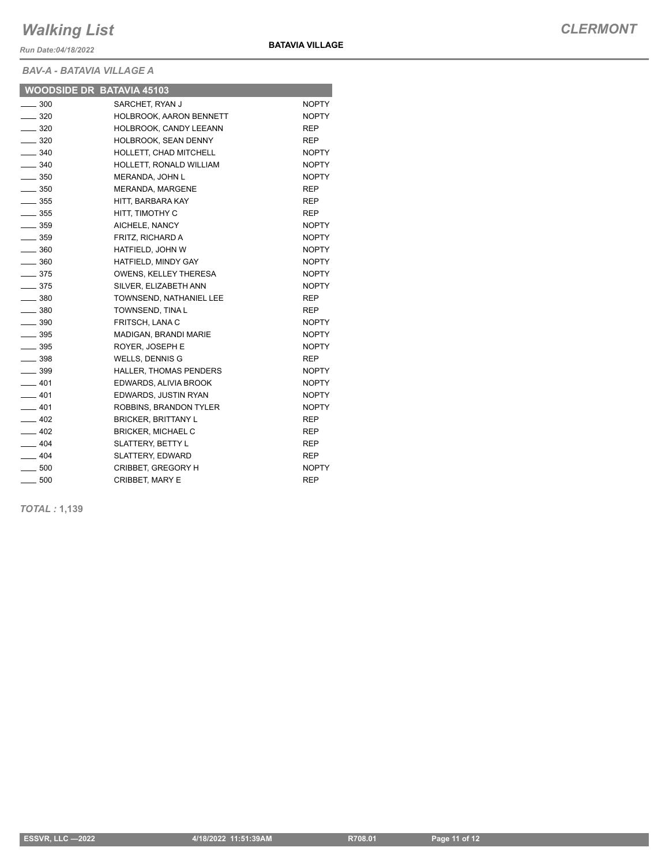*Run Date:04/18/2022*

*BAV-A - BATAVIA VILLAGE A*

**BATAVIA VILLAGE**

| ___               |                               |              |
|-------------------|-------------------------------|--------------|
| $\frac{1}{2}$ 300 | SARCHET, RYAN J               | NOPTY        |
| $\frac{1}{2}$ 320 | HOLBROOK, AARON BENNETT       | <b>NOPTY</b> |
| $\frac{1}{2}$ 320 | HOLBROOK, CANDY LEEANN        | <b>REP</b>   |
| $-320$            | <b>HOLBROOK, SEAN DENNY</b>   | REP.         |
| $\frac{1}{2}$ 340 | HOLLETT, CHAD MITCHELL        | NOPTY        |
| $\frac{1}{2}$ 340 | HOLLETT. RONALD WILLIAM       | <b>NOPTY</b> |
| $\frac{1}{2}$ 350 | MERANDA, JOHN L               | <b>NOPTY</b> |
| $\equiv$ 350      | MERANDA, MARGENE              | <b>REP</b>   |
| $\equiv$ 355      | HITT. BARBARA KAY             | <b>REP</b>   |
| $\sim$ 355        | HITT, TIMOTHY C               | <b>REP</b>   |
| $\equiv$ 359      | AICHELE, NANCY                | <b>NOPTY</b> |
| $\frac{1}{2}$ 359 | FRITZ, RICHARD A              | <b>NOPTY</b> |
| $\equiv$ 360      | HATFIELD. JOHN W              | <b>NOPTY</b> |
| $\frac{1}{2}$ 360 | HATFIELD. MINDY GAY           | <b>NOPTY</b> |
| $\frac{375}{2}$   | OWENS, KELLEY THERESA         | <b>NOPTY</b> |
| $\equiv$ 375      | SILVER, ELIZABETH ANN         | <b>NOPTY</b> |
| $\frac{1}{2}$ 380 | TOWNSEND, NATHANIEL LEE       | <b>REP</b>   |
| $\equiv$ 380      | TOWNSEND, TINA L              | <b>REP</b>   |
| $\frac{1}{2}$ 390 | FRITSCH, LANA C               | <b>NOPTY</b> |
| $\equiv$ 395      | MADIGAN, BRANDI MARIE         | <b>NOPTY</b> |
| $\frac{1}{2}$ 395 | ROYER. JOSEPH E               | <b>NOPTY</b> |
| $\frac{1}{2}$ 398 | <b>WELLS, DENNIS G</b>        | <b>REP</b>   |
| $-399$            | <b>HALLER. THOMAS PENDERS</b> | NOPTY        |
| $-401$            | EDWARDS, ALIVIA BROOK         | <b>NOPTY</b> |
| $-401$            | EDWARDS, JUSTIN RYAN          | <b>NOPTY</b> |
| $-401$            | ROBBINS, BRANDON TYLER        | <b>NOPTY</b> |
| $-402$            | <b>BRICKER, BRITTANY L</b>    | <b>REP</b>   |
| $-402$            | <b>BRICKER, MICHAEL C</b>     | <b>REP</b>   |
| $-404$            | <b>SLATTERY, BETTY L</b>      | <b>REP</b>   |
| $-404$            | <b>SLATTERY, EDWARD</b>       | <b>REP</b>   |
| $\frac{1}{2}$ 500 | <b>CRIBBET, GREGORY H</b>     | <b>NOPTY</b> |
| $\frac{1}{2}$ 500 | CRIBBET, MARY E               | <b>REP</b>   |

*TOTAL :* **1,139**